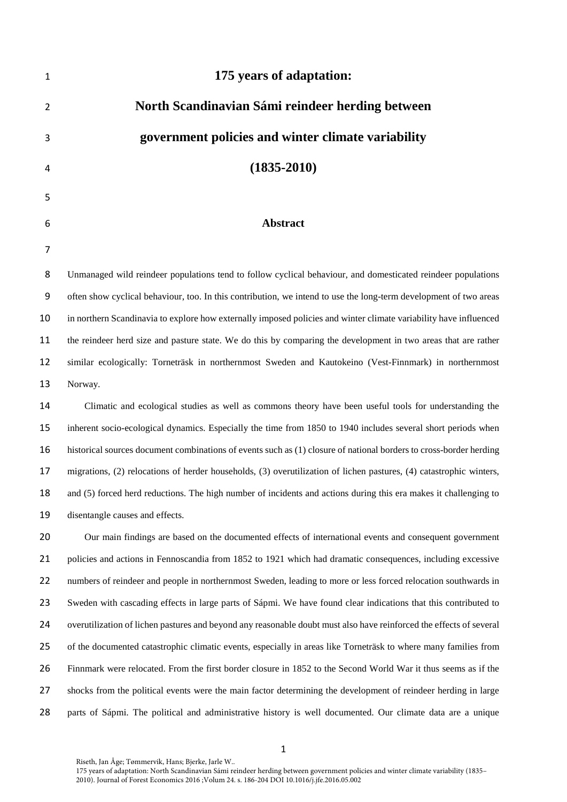| 1              | 175 years of adaptation:                                                                                            |
|----------------|---------------------------------------------------------------------------------------------------------------------|
| 2              | North Scandinavian Sámi reindeer herding between                                                                    |
| 3              | government policies and winter climate variability                                                                  |
| 4              | $(1835 - 2010)$                                                                                                     |
| 5              |                                                                                                                     |
| 6              | Abstract                                                                                                            |
| $\overline{7}$ |                                                                                                                     |
| 8              | Unmanaged wild reindeer populations tend to follow cyclical behaviour, and domesticated reindeer populations        |
| 9              | often show cyclical behaviour, too. In this contribution, we intend to use the long-term development of two areas   |
| 10             | in northern Scandinavia to explore how externally imposed policies and winter climate variability have influenced   |
| 11             | the reindeer herd size and pasture state. We do this by comparing the development in two areas that are rather      |
| 12             | similar ecologically: Torneträsk in northernmost Sweden and Kautokeino (Vest-Finnmark) in northernmost              |
| 13             | Norway.                                                                                                             |
| 14             | Climatic and ecological studies as well as commons theory have been useful tools for understanding the              |
| 15             | inherent socio-ecological dynamics. Especially the time from 1850 to 1940 includes several short periods when       |
| 16             | historical sources document combinations of events such as (1) closure of national borders to cross-border herding  |
| 17             | migrations, (2) relocations of herder households, (3) overutilization of lichen pastures, (4) catastrophic winters, |
| 18             | and (5) forced herd reductions. The high number of incidents and actions during this era makes it challenging to    |
| 19             | disentangle causes and effects.                                                                                     |
| 20             | Our main findings are based on the documented effects of international events and consequent government             |
| 21             | policies and actions in Fennoscandia from 1852 to 1921 which had dramatic consequences, including excessive         |
| 22             | numbers of reindeer and people in northernmost Sweden, leading to more or less forced relocation southwards in      |
| 23             | Sweden with cascading effects in large parts of Sápmi. We have found clear indications that this contributed to     |
| 24             | overutilization of lichen pastures and beyond any reasonable doubt must also have reinforced the effects of several |
| 25             | of the documented catastrophic climatic events, especially in areas like Torneträsk to where many families from     |
| 26             | Finnmark were relocated. From the first border closure in 1852 to the Second World War it thus seems as if the      |
| 27             | shocks from the political events were the main factor determining the development of reindeer herding in large      |
| 28             | parts of Sápmi. The political and administrative history is well documented. Our climate data are a unique          |
|                |                                                                                                                     |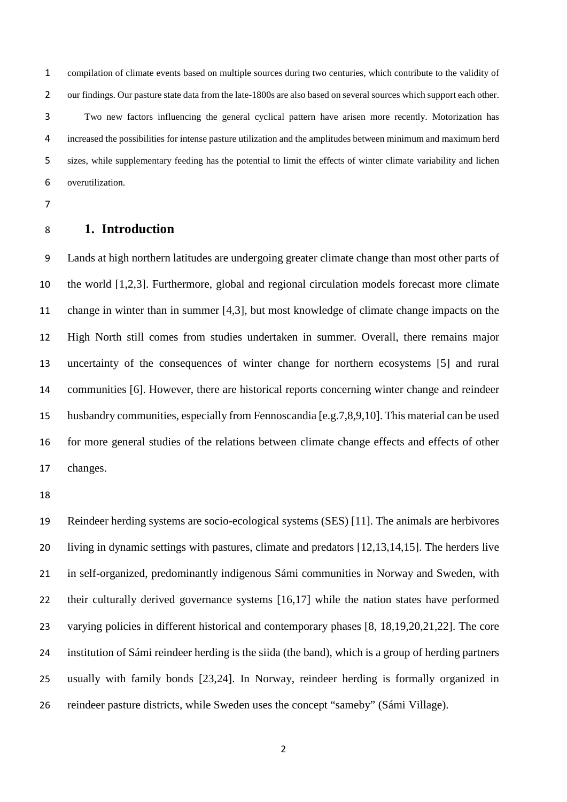compilation of climate events based on multiple sources during two centuries, which contribute to the validity of our findings. Our pasture state data from the late-1800s are also based on several sources which support each other. Two new factors influencing the general cyclical pattern have arisen more recently. Motorization has increased the possibilities for intense pasture utilization and the amplitudes between minimum and maximum herd sizes, while supplementary feeding has the potential to limit the effects of winter climate variability and lichen overutilization.

## **1. Introduction**

 Lands at high northern latitudes are undergoing greater climate change than most other parts of the world [1,2,3]. Furthermore, global and regional circulation models forecast more climate change in winter than in summer [4,3], but most knowledge of climate change impacts on the High North still comes from studies undertaken in summer. Overall, there remains major uncertainty of the consequences of winter change for northern ecosystems [5] and rural communities [6]. However, there are historical reports concerning winter change and reindeer husbandry communities, especially from Fennoscandia [e.g.7,8,9,10]. This material can be used for more general studies of the relations between climate change effects and effects of other changes.

 Reindeer herding systems are socio-ecological systems (SES) [11]. The animals are herbivores living in dynamic settings with pastures, climate and predators [12,13,14,15]. The herders live in self-organized, predominantly indigenous Sámi communities in Norway and Sweden, with their culturally derived governance systems [16,17] while the nation states have performed varying policies in different historical and contemporary phases [8, 18,19,20,21,22]. The core institution of Sámi reindeer herding is the siida (the band), which is a group of herding partners usually with family bonds [23,24]. In Norway, reindeer herding is formally organized in reindeer pasture districts, while Sweden uses the concept "sameby" (Sámi Village).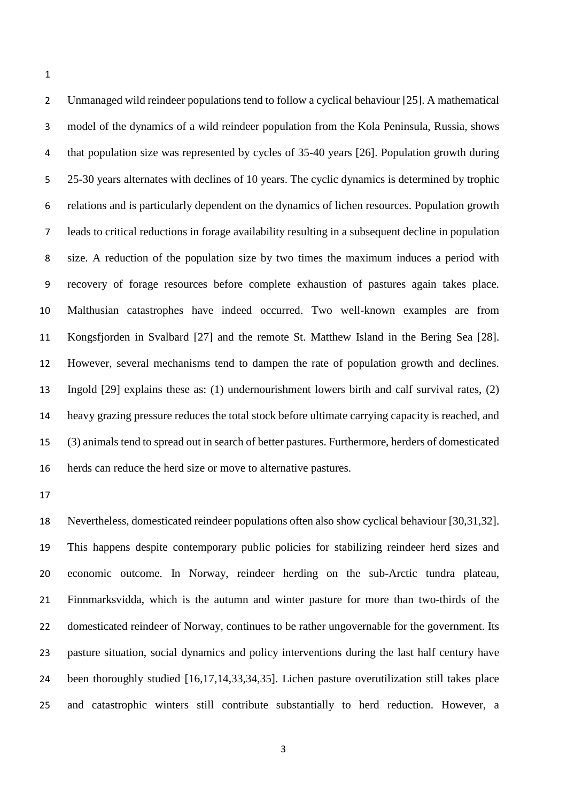Unmanaged wild reindeer populations tend to follow a cyclical behaviour [25]. A mathematical model of the dynamics of a wild reindeer population from the Kola Peninsula, Russia, shows that population size was represented by cycles of 35-40 years [26]. Population growth during 25-30 years alternates with declines of 10 years. The cyclic dynamics is determined by trophic relations and is particularly dependent on the dynamics of lichen resources. Population growth leads to critical reductions in forage availability resulting in a subsequent decline in population size. A reduction of the population size by two times the maximum induces a period with recovery of forage resources before complete exhaustion of pastures again takes place. Malthusian catastrophes have indeed occurred. Two well-known examples are from Kongsfjorden in Svalbard [27] and the remote St. Matthew Island in the Bering Sea [28]. However, several mechanisms tend to dampen the rate of population growth and declines. Ingold [29] explains these as: (1) undernourishment lowers birth and calf survival rates, (2) heavy grazing pressure reduces the total stock before ultimate carrying capacity is reached, and (3) animals tend to spread out in search of better pastures. Furthermore, herders of domesticated herds can reduce the herd size or move to alternative pastures.

 Nevertheless, domesticated reindeer populations often also show cyclical behaviour [30,31,32]. This happens despite contemporary public policies for stabilizing reindeer herd sizes and economic outcome. In Norway, reindeer herding on the sub-Arctic tundra plateau, Finnmarksvidda, which is the autumn and winter pasture for more than two-thirds of the domesticated reindeer of Norway, continues to be rather ungovernable for the government. Its pasture situation, social dynamics and policy interventions during the last half century have been thoroughly studied [16,17,14,33,34,35]. Lichen pasture overutilization still takes place and catastrophic winters still contribute substantially to herd reduction. However, a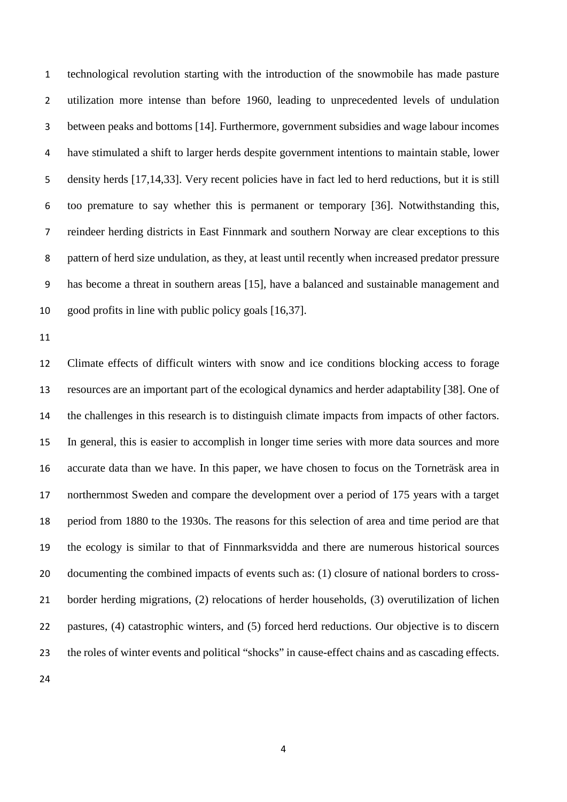technological revolution starting with the introduction of the snowmobile has made pasture utilization more intense than before 1960, leading to unprecedented levels of undulation between peaks and bottoms [14]. Furthermore, government subsidies and wage labour incomes have stimulated a shift to larger herds despite government intentions to maintain stable, lower density herds [17,14,33]. Very recent policies have in fact led to herd reductions, but it is still too premature to say whether this is permanent or temporary [36]. Notwithstanding this, reindeer herding districts in East Finnmark and southern Norway are clear exceptions to this pattern of herd size undulation, as they, at least until recently when increased predator pressure has become a threat in southern areas [15], have a balanced and sustainable management and good profits in line with public policy goals [16,37].

 Climate effects of difficult winters with snow and ice conditions blocking access to forage resources are an important part of the ecological dynamics and herder adaptability [38]. One of the challenges in this research is to distinguish climate impacts from impacts of other factors. In general, this is easier to accomplish in longer time series with more data sources and more accurate data than we have. In this paper, we have chosen to focus on the Torneträsk area in northernmost Sweden and compare the development over a period of 175 years with a target period from 1880 to the 1930s. The reasons for this selection of area and time period are that the ecology is similar to that of Finnmarksvidda and there are numerous historical sources documenting the combined impacts of events such as: (1) closure of national borders to cross- border herding migrations, (2) relocations of herder households, (3) overutilization of lichen pastures, (4) catastrophic winters, and (5) forced herd reductions. Our objective is to discern the roles of winter events and political "shocks" in cause-effect chains and as cascading effects.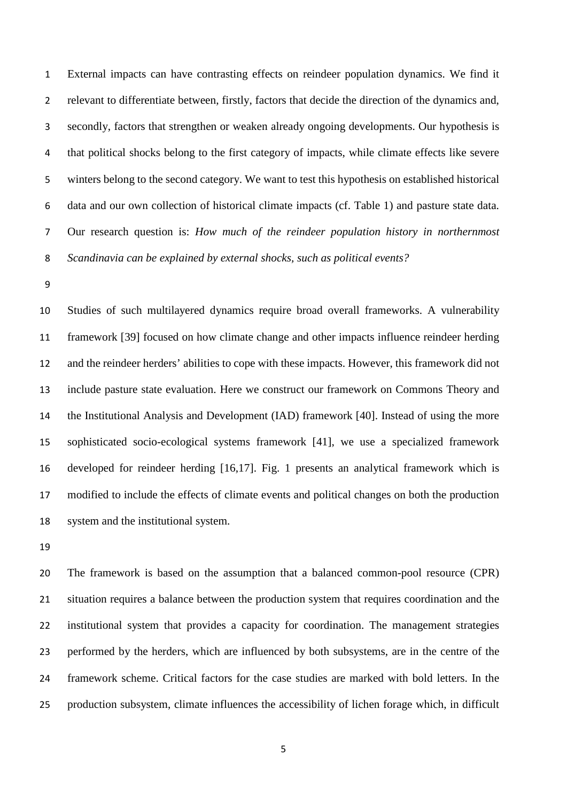External impacts can have contrasting effects on reindeer population dynamics. We find it relevant to differentiate between, firstly, factors that decide the direction of the dynamics and, secondly, factors that strengthen or weaken already ongoing developments. Our hypothesis is that political shocks belong to the first category of impacts, while climate effects like severe winters belong to the second category. We want to test this hypothesis on established historical data and our own collection of historical climate impacts (cf. Table 1) and pasture state data. Our research question is: *How much of the reindeer population history in northernmost Scandinavia can be explained by external shocks, such as political events?*

 Studies of such multilayered dynamics require broad overall frameworks. A vulnerability framework [39] focused on how climate change and other impacts influence reindeer herding and the reindeer herders' abilities to cope with these impacts. However, this framework did not include pasture state evaluation. Here we construct our framework on Commons Theory and the Institutional Analysis and Development (IAD) framework [40]. Instead of using the more sophisticated socio-ecological systems framework [41], we use a specialized framework developed for reindeer herding [16,17]. Fig. 1 presents an analytical framework which is modified to include the effects of climate events and political changes on both the production system and the institutional system.

 The framework is based on the assumption that a balanced common-pool resource (CPR) situation requires a balance between the production system that requires coordination and the institutional system that provides a capacity for coordination. The management strategies performed by the herders, which are influenced by both subsystems, are in the centre of the framework scheme. Critical factors for the case studies are marked with bold letters. In the production subsystem, climate influences the accessibility of lichen forage which, in difficult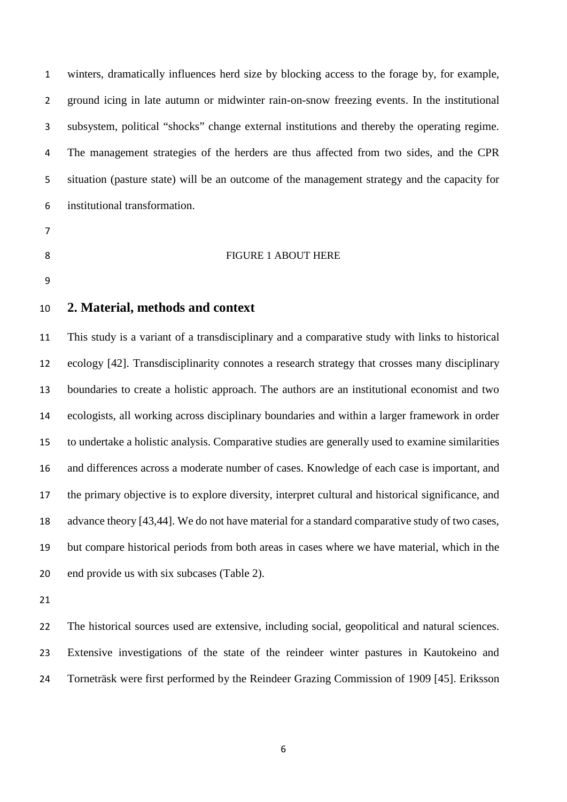winters, dramatically influences herd size by blocking access to the forage by, for example, ground icing in late autumn or midwinter rain-on-snow freezing events. In the institutional subsystem, political "shocks" change external institutions and thereby the operating regime. The management strategies of the herders are thus affected from two sides, and the CPR situation (pasture state) will be an outcome of the management strategy and the capacity for institutional transformation.

- 
- 

#### 8 FIGURE 1 ABOUT HERE

# **2. Material, methods and context**

 This study is a variant of a transdisciplinary and a comparative study with links to historical ecology [42]. Transdisciplinarity connotes a research strategy that crosses many disciplinary boundaries to create a holistic approach. The authors are an institutional economist and two ecologists, all working across disciplinary boundaries and within a larger framework in order to undertake a holistic analysis. Comparative studies are generally used to examine similarities and differences across a moderate number of cases. Knowledge of each case is important, and the primary objective is to explore diversity, interpret cultural and historical significance, and advance theory [43,44]. We do not have material for a standard comparative study of two cases, but compare historical periods from both areas in cases where we have material, which in the end provide us with six subcases (Table 2).

 The historical sources used are extensive, including social, geopolitical and natural sciences. Extensive investigations of the state of the reindeer winter pastures in Kautokeino and Torneträsk were first performed by the Reindeer Grazing Commission of 1909 [45]. Eriksson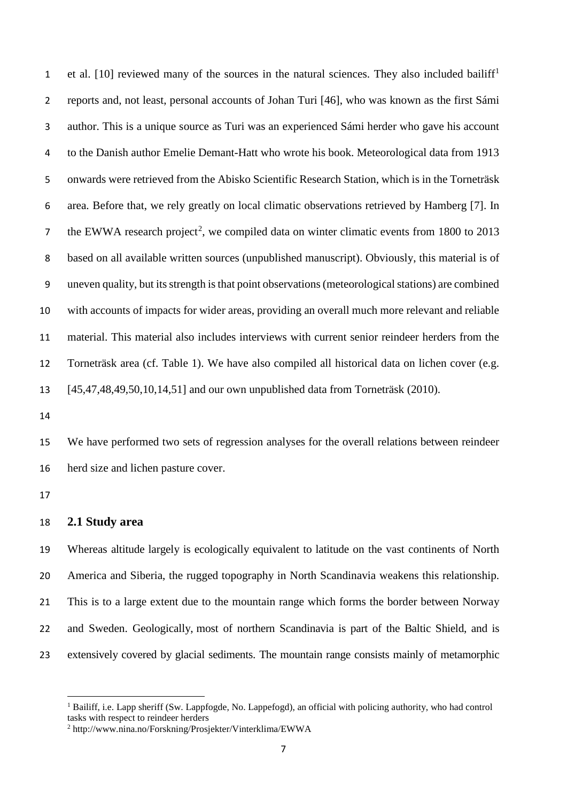et al. [[1](#page-6-0)0] reviewed many of the sources in the natural sciences. They also included bailiff<sup>1</sup> reports and, not least, personal accounts of Johan Turi [46], who was known as the first Sámi author. This is a unique source as Turi was an experienced Sámi herder who gave his account to the Danish author Emelie Demant-Hatt who wrote his book. Meteorological data from 1913 onwards were retrieved from the Abisko Scientific Research Station, which is in the Torneträsk area. Before that, we rely greatly on local climatic observations retrieved by Hamberg [7]. In the EWWA research project<sup>[2](#page-6-1)</sup>, we compiled data on winter climatic events from 1800 to 2013 based on all available written sources (unpublished manuscript). Obviously, this material is of uneven quality, but its strength is that point observations (meteorological stations) are combined with accounts of impacts for wider areas, providing an overall much more relevant and reliable material. This material also includes interviews with current senior reindeer herders from the Torneträsk area (cf. Table 1). We have also compiled all historical data on lichen cover (e.g. [45,47,48,49,50,10,14,51] and our own unpublished data from Torneträsk (2010).

 We have performed two sets of regression analyses for the overall relations between reindeer herd size and lichen pasture cover.

#### **2.1 Study area**

 $\overline{a}$ 

 Whereas altitude largely is ecologically equivalent to latitude on the vast continents of North America and Siberia, the rugged topography in North Scandinavia weakens this relationship. This is to a large extent due to the mountain range which forms the border between Norway and Sweden. Geologically, most of northern Scandinavia is part of the Baltic Shield, and is extensively covered by glacial sediments. The mountain range consists mainly of metamorphic

<span id="page-6-0"></span><sup>&</sup>lt;sup>1</sup> Bailiff, i.e. Lapp sheriff (Sw. Lappfogde, No. Lappefogd), an official with policing authority, who had control tasks with respect to reindeer herders 2 http://www.nina.no/Forskning/Prosjekter/Vinterklima/EWWA

<span id="page-6-1"></span>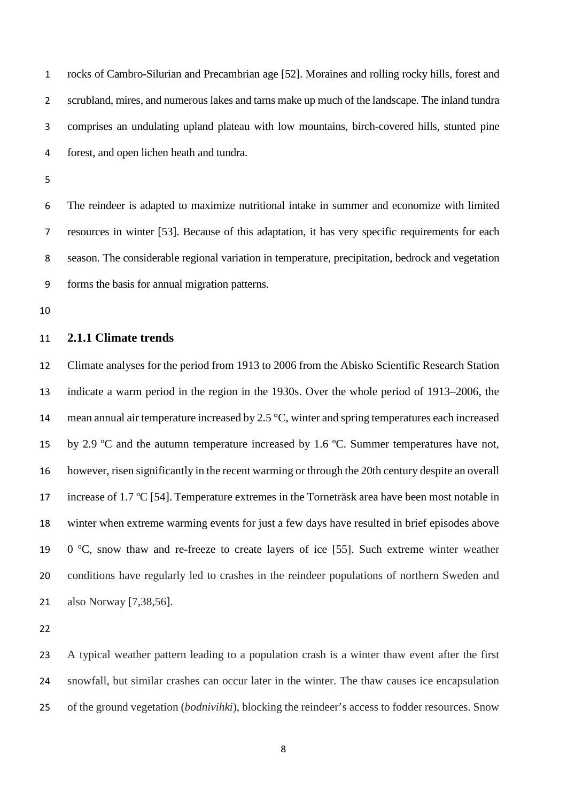rocks of Cambro-Silurian and Precambrian age [52]. Moraines and rolling rocky hills, forest and scrubland, mires, and numerous lakes and tarns make up much of the landscape. The inland tundra comprises an undulating upland plateau with low mountains, birch-covered hills, stunted pine forest, and open lichen heath and tundra.

 The reindeer is adapted to maximize nutritional intake in summer and economize with limited resources in winter [53]. Because of this adaptation, it has very specific requirements for each season. The considerable regional variation in temperature, precipitation, bedrock and vegetation forms the basis for annual migration patterns.

### **2.1.1 Climate trends**

 Climate analyses for the period from 1913 to 2006 from the Abisko Scientific Research Station indicate a warm period in the region in the 1930s. Over the whole period of 1913–2006, the 14 mean annual air temperature increased by 2.5 °C, winter and spring temperatures each increased by 2.9 ºC and the autumn temperature increased by 1.6 ºC. Summer temperatures have not, however, risen significantly in the recent warming or through the 20th century despite an overall 17 increase of 1.7 °C [54]. Temperature extremes in the Torneträsk area have been most notable in winter when extreme warming events for just a few days have resulted in brief episodes above 19 0  $\degree$ C, snow thaw and re-freeze to create layers of ice [55]. Such extreme winter weather conditions have regularly led to crashes in the reindeer populations of northern Sweden and also Norway [7,38,56].

 A typical weather pattern leading to a population crash is a winter thaw event after the first snowfall, but similar crashes can occur later in the winter. The thaw causes ice encapsulation of the ground vegetation (*bodnivihki*), blocking the reindeer's access to fodder resources. Snow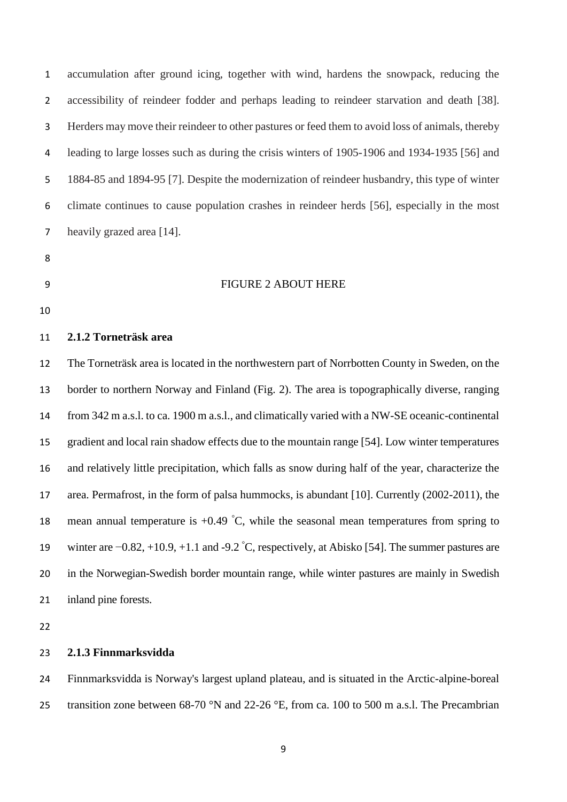accumulation after ground icing, together with wind, hardens the snowpack, reducing the 2 accessibility of reindeer fodder and perhaps leading to reindeer starvation and death [38]. Herders may move their reindeer to other pastures or feed them to avoid loss of animals, thereby leading to large losses such as during the crisis winters of 1905-1906 and 1934-1935 [56] and 1884-85 and 1894-95 [7]. Despite the modernization of reindeer husbandry, this type of winter climate continues to cause population crashes in reindeer herds [56], especially in the most heavily grazed area [14].

- 
- 

#### FIGURE 2 ABOUT HERE

#### **2.1.2 Torneträsk area**

 The Torneträsk area is located in the northwestern part of Norrbotten County in Sweden, on the border to northern Norway and Finland (Fig. 2). The area is topographically diverse, ranging from 342 m a.s.l. to ca. 1900 m a.s.l., and climatically varied with a NW-SE oceanic-continental gradient and local rain shadow effects due to the mountain range [54]. Low winter temperatures and relatively little precipitation, which falls as snow during half of the year, characterize the area. Permafrost, in the form of palsa hummocks, is abundant [10]. Currently (2002-2011), the 18 mean annual temperature is  $+0.49\degree C$ , while the seasonal mean temperatures from spring to winter are  $-0.82, +10.9, +1.1$  and  $-9.2$  °C, respectively, at Abisko [54]. The summer pastures are in the Norwegian-Swedish border mountain range, while winter pastures are mainly in Swedish inland pine forests.

### **2.1.3 Finnmarksvidda**

 Finnmarksvidda is Norway's largest upland plateau, and is situated in the Arctic-alpine-boreal 25 transition zone between  $68-70$  °N and  $22-26$  °E, from ca. 100 to 500 m a.s.l. The Precambrian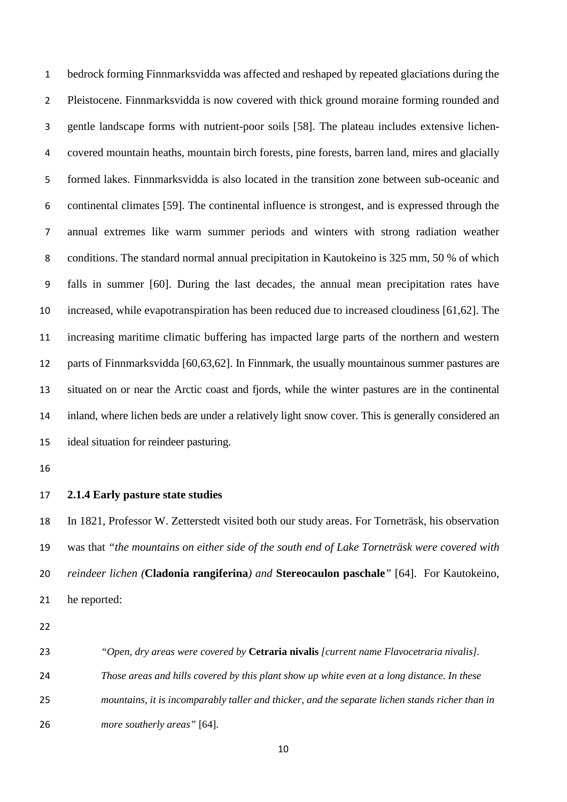bedrock forming Finnmarksvidda was affected and reshaped by repeated glaciations during the Pleistocene. Finnmarksvidda is now covered with thick ground moraine forming rounded and gentle landscape forms with nutrient-poor soils [58]. The plateau includes extensive lichen- covered mountain heaths, mountain birch forests, pine forests, barren land, mires and glacially formed lakes. Finnmarksvidda is also located in the transition zone between sub-oceanic and continental climates [59]. The continental influence is strongest, and is expressed through the annual extremes like warm summer periods and winters with strong radiation weather conditions. The standard normal annual precipitation in Kautokeino is 325 mm, 50 % of which falls in summer [60]. During the last decades, the annual mean precipitation rates have increased, while evapotranspiration has been reduced due to increased cloudiness [61,62]. The increasing maritime climatic buffering has impacted large parts of the northern and western parts of Finnmarksvidda [60,63,62]. In Finnmark, the usually mountainous summer pastures are situated on or near the Arctic coast and fjords, while the winter pastures are in the continental inland, where lichen beds are under a relatively light snow cover. This is generally considered an ideal situation for reindeer pasturing.

#### **2.1.4 Early pasture state studies**

 In 1821, Professor W. Zetterstedt visited both our study areas. For Torneträsk, his observation was that *"the mountains on either side of the south end of Lake Torneträsk were covered with reindeer lichen (***Cladonia rangiferina***) and* **Stereocaulon paschale***"* [64]. For Kautokeino, he reported:

 *"Open, dry areas were covered by* **Cetraria nivalis** *[current name Flavocetraria nivalis]. Those areas and hills covered by this plant show up white even at a long distance. In these mountains, it is incomparably taller and thicker, and the separate lichen stands richer than in more southerly areas"* [64].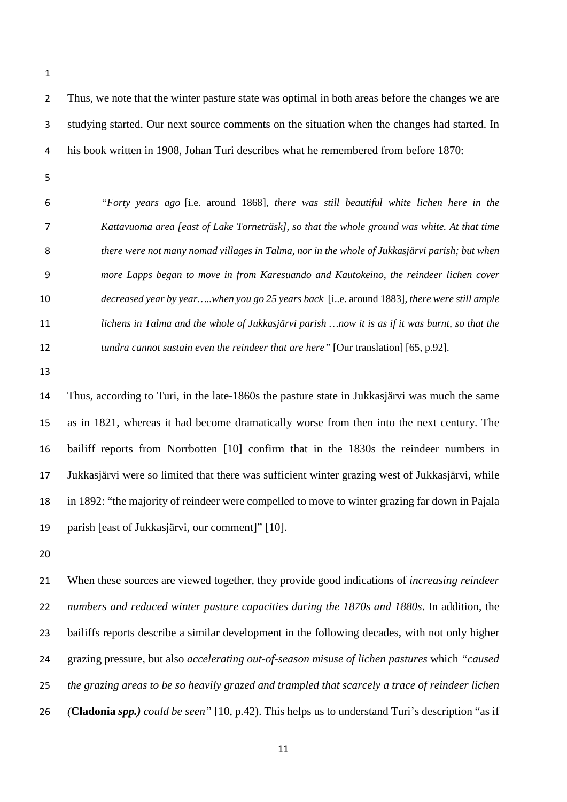Thus, we note that the winter pasture state was optimal in both areas before the changes we are studying started. Our next source comments on the situation when the changes had started. In his book written in 1908, Johan Turi describes what he remembered from before 1870:

 *"Forty years ago* [i.e. around 1868]*, there was still beautiful white lichen here in the Kattavuoma area [east of Lake Torneträsk], so that the whole ground was white. At that time there were not many nomad villages in Talma, nor in the whole of Jukkasjärvi parish; but when more Lapps began to move in from Karesuando and Kautokeino, the reindeer lichen cover decreased year by year…..when you go 25 years back* [i..e. around 1883]*, there were still ample lichens in Talma and the whole of Jukkasjärvi parish …now it is as if it was burnt, so that the tundra cannot sustain even the reindeer that are here"* [Our translation] [65, p.92].

 Thus, according to Turi, in the late-1860s the pasture state in Jukkasjärvi was much the same as in 1821, whereas it had become dramatically worse from then into the next century. The bailiff reports from Norrbotten [10] confirm that in the 1830s the reindeer numbers in Jukkasjärvi were so limited that there was sufficient winter grazing west of Jukkasjärvi, while in 1892: "the majority of reindeer were compelled to move to winter grazing far down in Pajala parish [east of Jukkasjärvi, our comment]" [10].

 When these sources are viewed together, they provide good indications of *increasing reindeer numbers and reduced winter pasture capacities during the 1870s and 1880s*. In addition, the bailiffs reports describe a similar development in the following decades, with not only higher grazing pressure, but also *accelerating out-of-season misuse of lichen pastures* which *"caused the grazing areas to be so heavily grazed and trampled that scarcely a trace of reindeer lichen (***Cladonia** *spp.) could be seen"* [10, p.42). This helps us to understand Turi's description "as if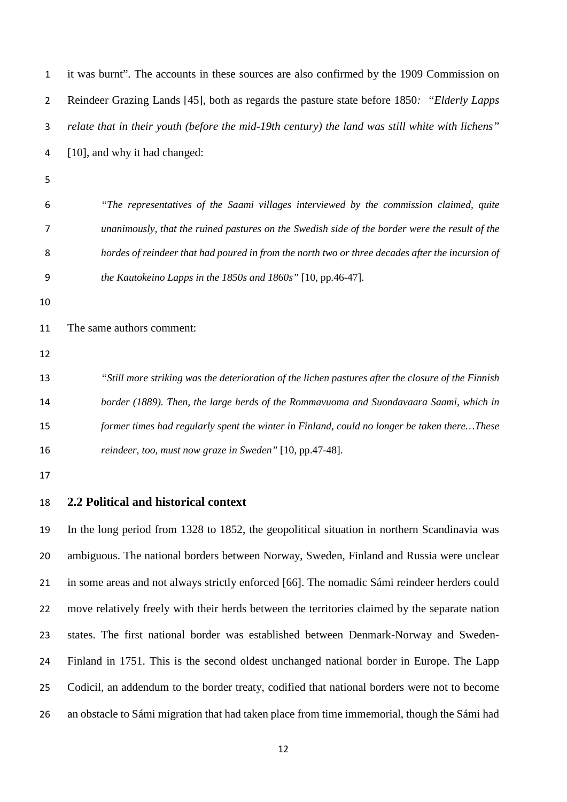| 1  | it was burnt". The accounts in these sources are also confirmed by the 1909 Commission on          |
|----|----------------------------------------------------------------------------------------------------|
| 2  | Reindeer Grazing Lands [45], both as regards the pasture state before 1850: "Elderly Lapps         |
| 3  | relate that in their youth (before the mid-19th century) the land was still white with lichens"    |
| 4  | [10], and why it had changed:                                                                      |
| 5  |                                                                                                    |
| 6  | "The representatives of the Saami villages interviewed by the commission claimed, quite            |
| 7  | unanimously, that the ruined pastures on the Swedish side of the border were the result of the     |
| 8  | hordes of reindeer that had poured in from the north two or three decades after the incursion of   |
| 9  | the Kautokeino Lapps in the $1850s$ and $1860s$ " [10, pp.46-47].                                  |
| 10 |                                                                                                    |
| 11 | The same authors comment:                                                                          |
| 12 |                                                                                                    |
| 13 | "Still more striking was the deterioration of the lichen pastures after the closure of the Finnish |
| 14 | border (1889). Then, the large herds of the Rommavuoma and Suondavaara Saami, which in             |
| 15 | former times had regularly spent the winter in Finland, could no longer be taken thereThese        |
| 16 | reindeer, too, must now graze in Sweden" [10, pp.47-48].                                           |
| 17 |                                                                                                    |
| 18 | 2.2 Political and historical context                                                               |
| 19 | In the long period from 1328 to 1852, the geopolitical situation in northern Scandinavia was       |
| 20 | ambiguous. The national borders between Norway, Sweden, Finland and Russia were unclear            |
| 21 | in some areas and not always strictly enforced [66]. The nomadic Sámi reindeer herders could       |

 move relatively freely with their herds between the territories claimed by the separate nation states. The first national border was established between Denmark-Norway and Sweden- Finland in 1751. This is the second oldest unchanged national border in Europe. The Lapp Codicil, an addendum to the border treaty, codified that national borders were not to become an obstacle to Sámi migration that had taken place from time immemorial, though the Sámi had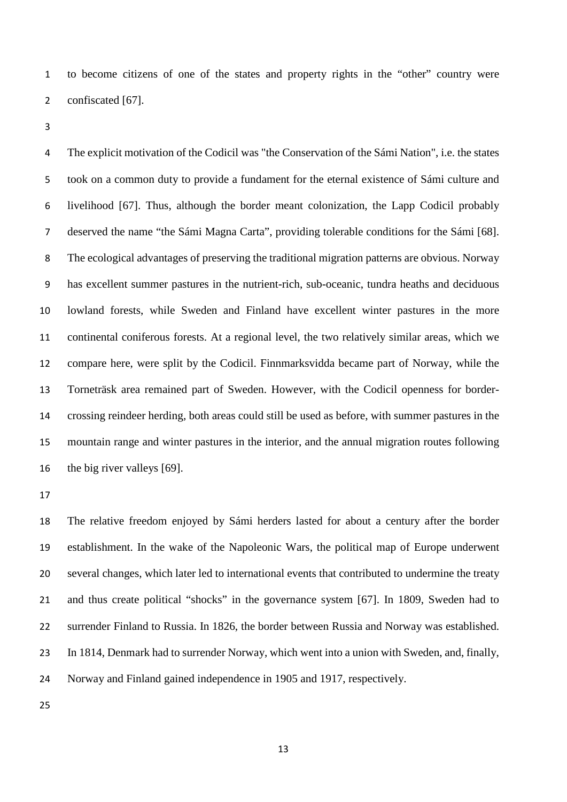to become citizens of one of the states and property rights in the "other" country were confiscated [67].

 The explicit motivation of the Codicil was "the Conservation of the Sámi Nation", i.e. the states took on a common duty to provide a fundament for the eternal existence of Sámi culture and livelihood [67]. Thus, although the border meant colonization, the Lapp Codicil probably deserved the name "the Sámi Magna Carta", providing tolerable conditions for the Sámi [68]. The ecological advantages of preserving the traditional migration patterns are obvious. Norway has excellent summer pastures in the nutrient-rich, sub-oceanic, tundra heaths and deciduous lowland forests, while Sweden and Finland have excellent winter pastures in the more continental coniferous forests. At a regional level, the two relatively similar areas, which we compare here, were split by the Codicil. Finnmarksvidda became part of Norway, while the Torneträsk area remained part of Sweden. However, with the Codicil openness for border- crossing reindeer herding, both areas could still be used as before, with summer pastures in the mountain range and winter pastures in the interior, and the annual migration routes following the big river valleys [69].

 The relative freedom enjoyed by Sámi herders lasted for about a century after the border establishment. In the wake of the Napoleonic Wars, the political map of Europe underwent several changes, which later led to international events that contributed to undermine the treaty and thus create political "shocks" in the governance system [67]. In 1809, Sweden had to surrender Finland to Russia. In 1826, the border between Russia and Norway was established. In 1814, Denmark had to surrender Norway, which went into a union with Sweden, and, finally, Norway and Finland gained independence in 1905 and 1917, respectively.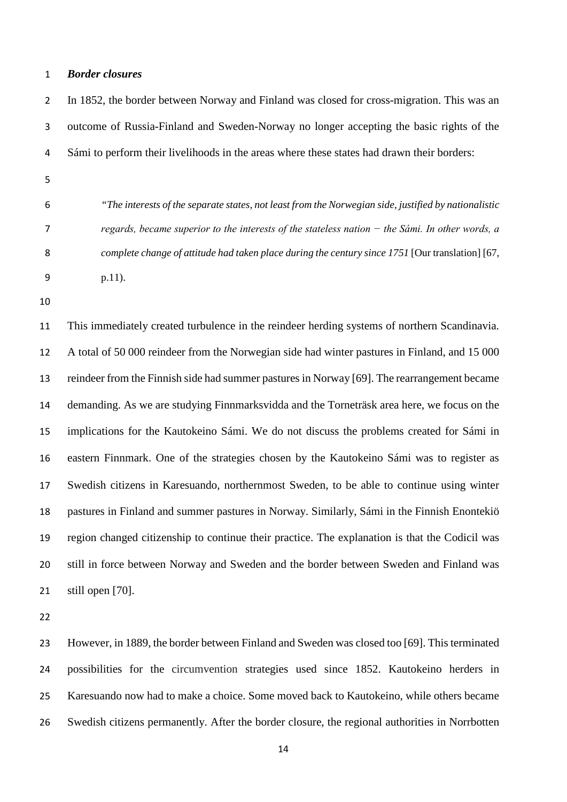#### *Border closures*

 In 1852, the border between Norway and Finland was closed for cross-migration. This was an outcome of Russia-Finland and Sweden-Norway no longer accepting the basic rights of the Sámi to perform their livelihoods in the areas where these states had drawn their borders:

- 
- 

 *"The interests of the separate states, not least from the Norwegian side, justified by nationalistic regards, became superior to the interests of the stateless nation − the Sámi. In other words, a complete change of attitude had taken place during the century since 1751* [Our translation] [67, p.11).

 This immediately created turbulence in the reindeer herding systems of northern Scandinavia. A total of 50 000 reindeer from the Norwegian side had winter pastures in Finland, and 15 000 reindeer from the Finnish side had summer pastures in Norway [69]. The rearrangement became demanding. As we are studying Finnmarksvidda and the Torneträsk area here, we focus on the implications for the Kautokeino Sámi. We do not discuss the problems created for Sámi in eastern Finnmark. One of the strategies chosen by the Kautokeino Sámi was to register as Swedish citizens in Karesuando, northernmost Sweden, to be able to continue using winter pastures in Finland and summer pastures in Norway. Similarly, Sámi in the Finnish Enontekiö region changed citizenship to continue their practice. The explanation is that the Codicil was still in force between Norway and Sweden and the border between Sweden and Finland was still open [70].

 However, in 1889, the border between Finland and Sweden was closed too [69]. This terminated possibilities for the circumvention strategies used since 1852. Kautokeino herders in Karesuando now had to make a choice. Some moved back to Kautokeino, while others became Swedish citizens permanently. After the border closure, the regional authorities in Norrbotten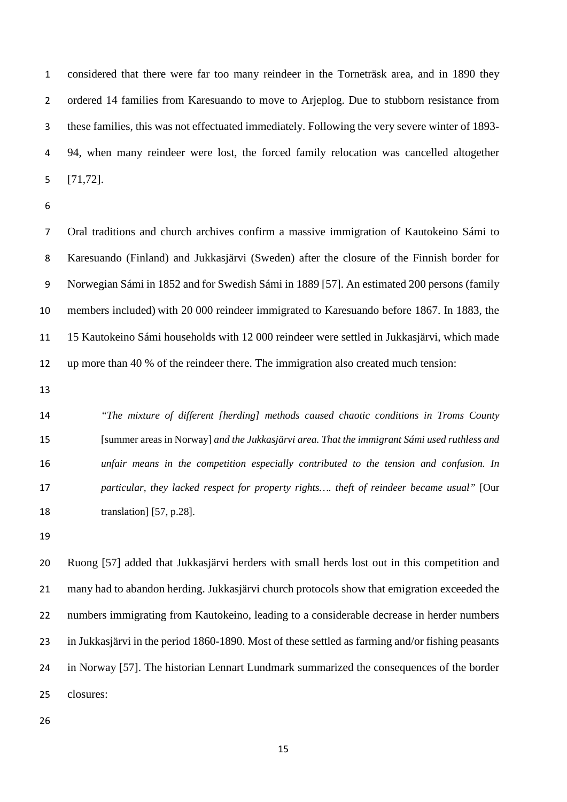considered that there were far too many reindeer in the Torneträsk area, and in 1890 they ordered 14 families from Karesuando to move to Arjeplog. Due to stubborn resistance from these families, this was not effectuated immediately. Following the very severe winter of 1893- 94, when many reindeer were lost, the forced family relocation was cancelled altogether [71,72].

 Oral traditions and church archives confirm a massive immigration of Kautokeino Sámi to Karesuando (Finland) and Jukkasjärvi (Sweden) after the closure of the Finnish border for Norwegian Sámi in 1852 and for Swedish Sámi in 1889 [57]. An estimated 200 persons (family members included) with 20 000 reindeer immigrated to Karesuando before 1867. In 1883, the 15 Kautokeino Sámi households with 12 000 reindeer were settled in Jukkasjärvi, which made up more than 40 % of the reindeer there. The immigration also created much tension:

 *"The mixture of different [herding] methods caused chaotic conditions in Troms County*  [summer areas in Norway] *and the Jukkasjärvi area. That the immigrant Sámi used ruthless and unfair means in the competition especially contributed to the tension and confusion. In particular, they lacked respect for property rights…. theft of reindeer became usual"* [Our translation] [57, p.28].

 Ruong [57] added that Jukkasjärvi herders with small herds lost out in this competition and many had to abandon herding. Jukkasjärvi church protocols show that emigration exceeded the numbers immigrating from Kautokeino, leading to a considerable decrease in herder numbers in Jukkasjärvi in the period 1860-1890. Most of these settled as farming and/or fishing peasants in Norway [57]. The historian Lennart Lundmark summarized the consequences of the border closures: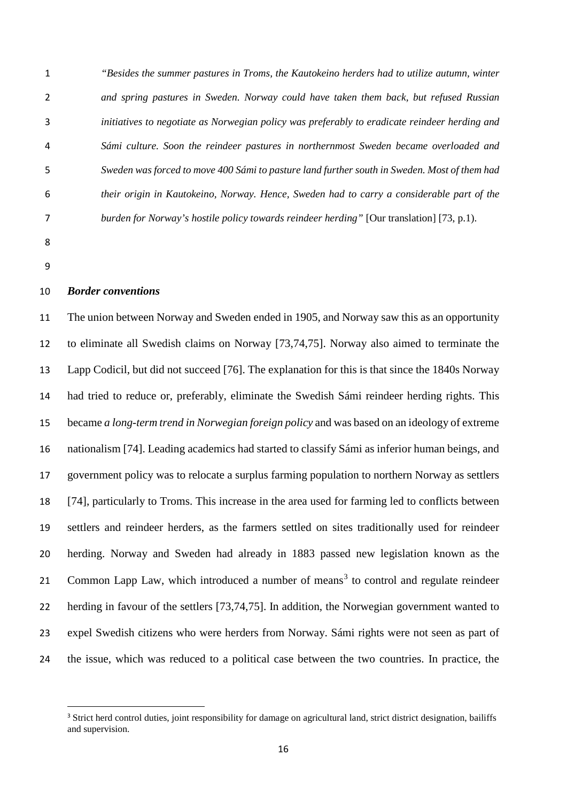*"Besides the summer pastures in Troms, the Kautokeino herders had to utilize autumn, winter and spring pastures in Sweden. Norway could have taken them back, but refused Russian initiatives to negotiate as Norwegian policy was preferably to eradicate reindeer herding and Sámi culture. Soon the reindeer pastures in northernmost Sweden became overloaded and Sweden was forced to move 400 Sámi to pasture land further south in Sweden. Most of them had their origin in Kautokeino, Norway. Hence, Sweden had to carry a considerable part of the burden for Norway's hostile policy towards reindeer herding"* [Our translation] [73, p.1).

- 
- 

#### *Border conventions*

 The union between Norway and Sweden ended in 1905, and Norway saw this as an opportunity to eliminate all Swedish claims on Norway [73,74,75]. Norway also aimed to terminate the Lapp Codicil, but did not succeed [76]. The explanation for this is that since the 1840s Norway had tried to reduce or, preferably, eliminate the Swedish Sámi reindeer herding rights. This became *a long-term trend in Norwegian foreign policy* and was based on an ideology of extreme nationalism [74]. Leading academics had started to classify Sámi as inferior human beings, and government policy was to relocate a surplus farming population to northern Norway as settlers [74], particularly to Troms. This increase in the area used for farming led to conflicts between settlers and reindeer herders, as the farmers settled on sites traditionally used for reindeer herding. Norway and Sweden had already in 1883 passed new legislation known as the 21 Common Lapp Law, which introduced a number of means<sup>[3](#page-15-0)</sup> to control and regulate reindeer herding in favour of the settlers [73,74,75]. In addition, the Norwegian government wanted to expel Swedish citizens who were herders from Norway. Sámi rights were not seen as part of the issue, which was reduced to a political case between the two countries. In practice, the

<span id="page-15-0"></span><sup>&</sup>lt;sup>3</sup> Strict herd control duties, joint responsibility for damage on agricultural land, strict district designation, bailiffs and supervision.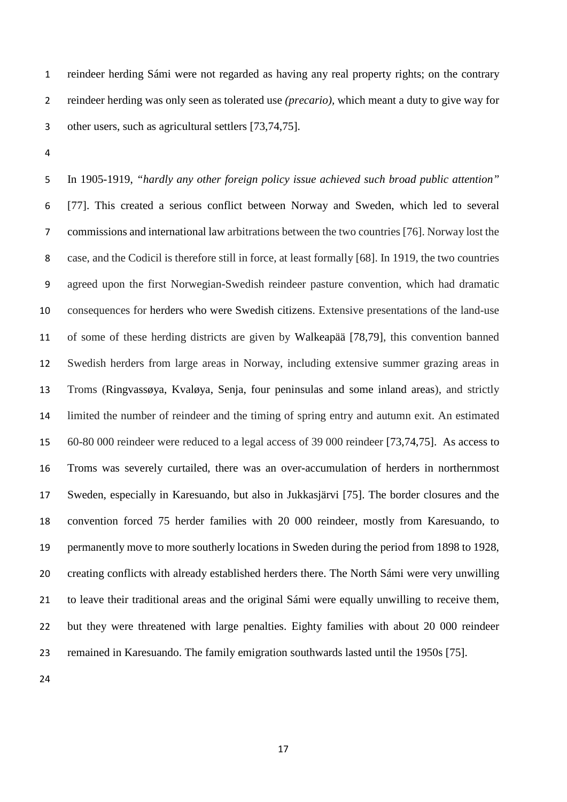reindeer herding Sámi were not regarded as having any real property rights; on the contrary reindeer herding was only seen as tolerated use *(precario),* which meant a duty to give way for other users, such as agricultural settlers [73,74,75].

 In 1905-1919, *"hardly any other foreign policy issue achieved such broad public attention"* [77]. This created a serious conflict between Norway and Sweden, which led to several commissions and international law arbitrations between the two countries [76]. Norway lost the case, and the Codicil is therefore still in force, at least formally [68]. In 1919, the two countries agreed upon the first Norwegian-Swedish reindeer pasture convention, which had dramatic consequences for herders who were Swedish citizens. Extensive presentations of the land-use of some of these herding districts are given by Walkeapää [78,79], this convention banned Swedish herders from large areas in Norway, including extensive summer grazing areas in Troms (Ringvassøya, Kvaløya, Senja, four peninsulas and some inland areas), and strictly limited the number of reindeer and the timing of spring entry and autumn exit. An estimated 60-80 000 reindeer were reduced to a legal access of 39 000 reindeer [73,74,75]. As access to Troms was severely curtailed, there was an over-accumulation of herders in northernmost Sweden, especially in Karesuando, but also in Jukkasjärvi [75]. The border closures and the convention forced 75 herder families with 20 000 reindeer, mostly from Karesuando, to permanently move to more southerly locations in Sweden during the period from 1898 to 1928, creating conflicts with already established herders there. The North Sámi were very unwilling to leave their traditional areas and the original Sámi were equally unwilling to receive them, but they were threatened with large penalties. Eighty families with about 20 000 reindeer remained in Karesuando. The family emigration southwards lasted until the 1950s [75].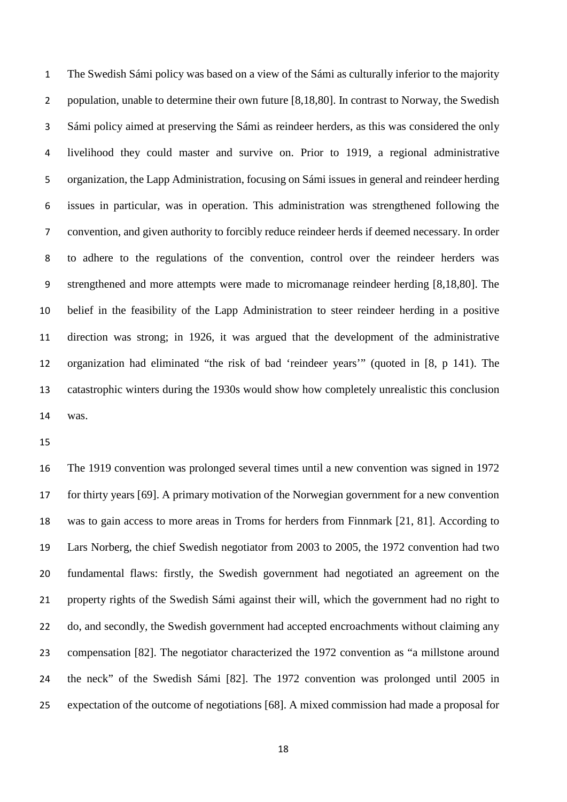The Swedish Sámi policy was based on a view of the Sámi as culturally inferior to the majority population, unable to determine their own future [8,18,80]. In contrast to Norway, the Swedish Sámi policy aimed at preserving the Sámi as reindeer herders, as this was considered the only livelihood they could master and survive on. Prior to 1919, a regional administrative organization, the Lapp Administration, focusing on Sámi issues in general and reindeer herding issues in particular, was in operation. This administration was strengthened following the convention, and given authority to forcibly reduce reindeer herds if deemed necessary. In order to adhere to the regulations of the convention, control over the reindeer herders was strengthened and more attempts were made to micromanage reindeer herding [8,18,80]. The belief in the feasibility of the Lapp Administration to steer reindeer herding in a positive direction was strong; in 1926, it was argued that the development of the administrative organization had eliminated "the risk of bad 'reindeer years'" (quoted in [8, p 141). The catastrophic winters during the 1930s would show how completely unrealistic this conclusion was.

 The 1919 convention was prolonged several times until a new convention was signed in 1972 for thirty years [69]. A primary motivation of the Norwegian government for a new convention was to gain access to more areas in Troms for herders from Finnmark [21, 81]. According to Lars Norberg, the chief Swedish negotiator from 2003 to 2005, the 1972 convention had two fundamental flaws: firstly, the Swedish government had negotiated an agreement on the property rights of the Swedish Sámi against their will, which the government had no right to do, and secondly, the Swedish government had accepted encroachments without claiming any compensation [82]. The negotiator characterized the 1972 convention as "a millstone around the neck" of the Swedish Sámi [82]. The 1972 convention was prolonged until 2005 in expectation of the outcome of negotiations [68]. A mixed commission had made a proposal for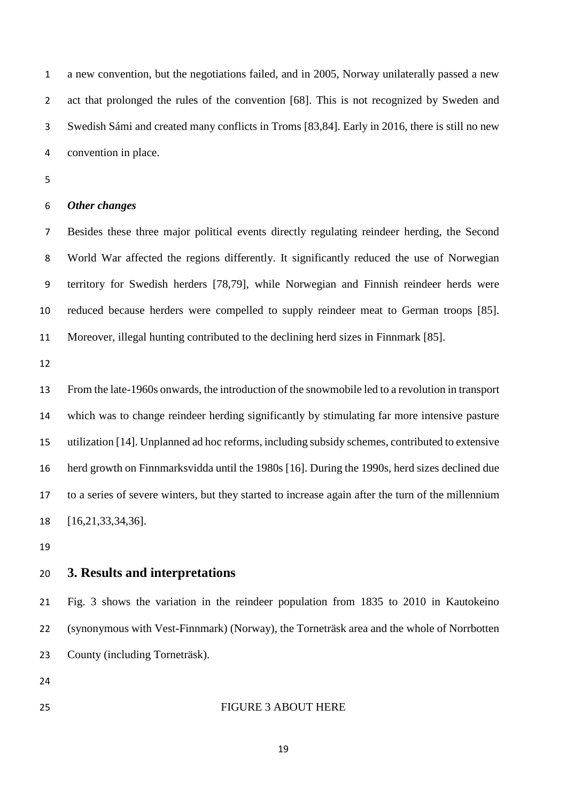a new convention, but the negotiations failed, and in 2005, Norway unilaterally passed a new act that prolonged the rules of the convention [68]. This is not recognized by Sweden and Swedish Sámi and created many conflicts in Troms [83,84]. Early in 2016, there is still no new convention in place.

#### *Other changes*

 Besides these three major political events directly regulating reindeer herding, the Second World War affected the regions differently. It significantly reduced the use of Norwegian territory for Swedish herders [78,79], while Norwegian and Finnish reindeer herds were reduced because herders were compelled to supply reindeer meat to German troops [85]. Moreover, illegal hunting contributed to the declining herd sizes in Finnmark [85].

 From the late-1960s onwards, the introduction of the snowmobile led to a revolution in transport which was to change reindeer herding significantly by stimulating far more intensive pasture utilization [14]. Unplanned ad hoc reforms, including subsidy schemes, contributed to extensive herd growth on Finnmarksvidda until the 1980s [16]. During the 1990s, herd sizes declined due to a series of severe winters, but they started to increase again after the turn of the millennium [16,21,33,34,36].

## **3. Results and interpretations**

 Fig. 3 shows the variation in the reindeer population from 1835 to 2010 in Kautokeino (synonymous with Vest-Finnmark) (Norway), the Torneträsk area and the whole of Norrbotten County (including Torneträsk).

FIGURE 3 ABOUT HERE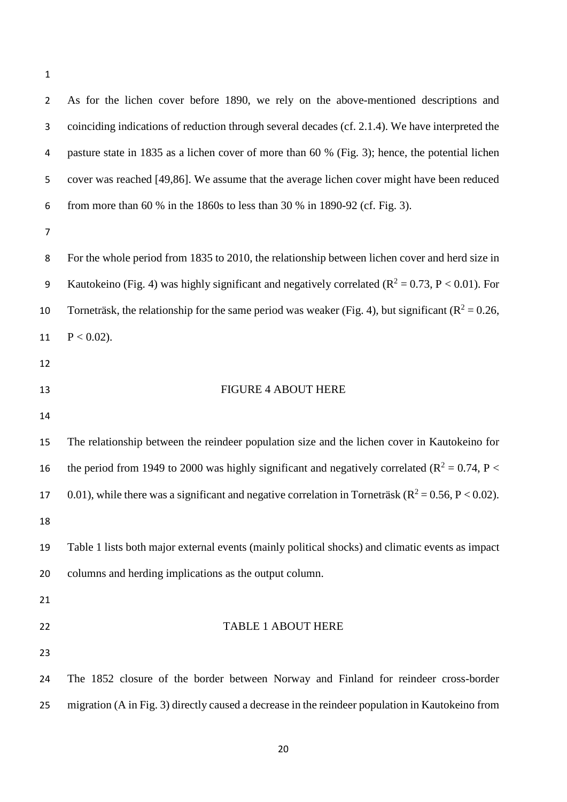As for the lichen cover before 1890, we rely on the above-mentioned descriptions and coinciding indications of reduction through several decades (cf. 2.1.4). We have interpreted the pasture state in 1835 as a lichen cover of more than 60 % (Fig. 3); hence, the potential lichen cover was reached [49,86]. We assume that the average lichen cover might have been reduced from more than 60 % in the 1860s to less than 30 % in 1890-92 (cf. Fig. 3). For the whole period from 1835 to 2010, the relationship between lichen cover and herd size in 9 Kautokeino (Fig. 4) was highly significant and negatively correlated ( $\mathbb{R}^2 = 0.73$ , P < 0.01). For 10 Torneträsk, the relationship for the same period was weaker (Fig. 4), but significant ( $R^2 = 0.26$ , 11  $P < 0.02$ ). 13 FIGURE 4 ABOUT HERE The relationship between the reindeer population size and the lichen cover in Kautokeino for 16 the period from 1949 to 2000 was highly significant and negatively correlated ( $R^2 = 0.74$ , P < 17 0.01), while there was a significant and negative correlation in Torneträsk ( $\mathbb{R}^2 = 0.56$ , P < 0.02). Table 1 lists both major external events (mainly political shocks) and climatic events as impact columns and herding implications as the output column. TABLE 1 ABOUT HERE The 1852 closure of the border between Norway and Finland for reindeer cross-border migration (A in Fig. 3) directly caused a decrease in the reindeer population in Kautokeino from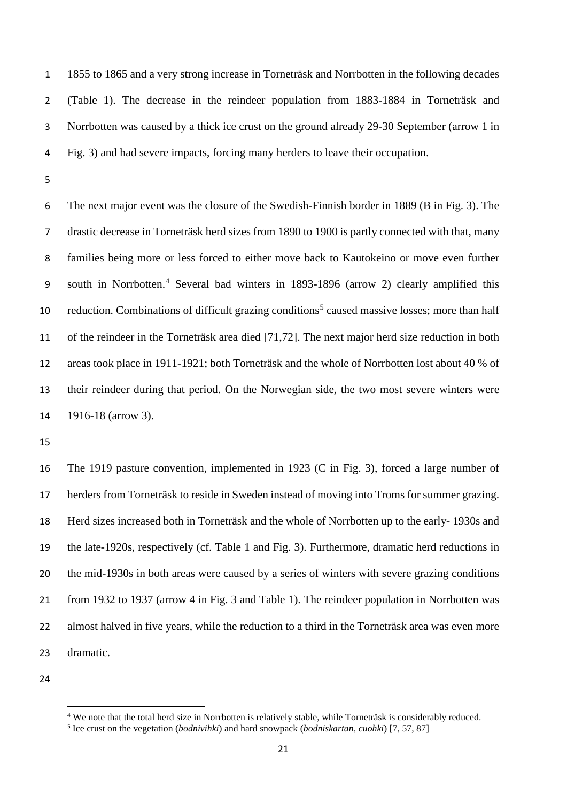1855 to 1865 and a very strong increase in Torneträsk and Norrbotten in the following decades (Table 1). The decrease in the reindeer population from 1883-1884 in Torneträsk and Norrbotten was caused by a thick ice crust on the ground already 29-30 September (arrow 1 in Fig. 3) and had severe impacts, forcing many herders to leave their occupation.

 The next major event was the closure of the Swedish-Finnish border in 1889 (B in Fig. 3). The drastic decrease in Torneträsk herd sizes from 1890 to 1900 is partly connected with that, many families being more or less forced to either move back to Kautokeino or move even further south in Norrbotten.[4](#page-20-0) Several bad winters in 1893-1896 (arrow 2) clearly amplified this 10 reduction. Combinations of difficult grazing conditions<sup>[5](#page-20-1)</sup> caused massive losses; more than half of the reindeer in the Torneträsk area died [71,72]. The next major herd size reduction in both areas took place in 1911-1921; both Torneträsk and the whole of Norrbotten lost about 40 % of their reindeer during that period. On the Norwegian side, the two most severe winters were 1916-18 (arrow 3).

 The 1919 pasture convention, implemented in 1923 (C in Fig. 3), forced a large number of herders from Torneträsk to reside in Sweden instead of moving into Troms for summer grazing. Herd sizes increased both in Torneträsk and the whole of Norrbotten up to the early- 1930s and the late-1920s, respectively (cf. Table 1 and Fig. 3). Furthermore, dramatic herd reductions in the mid-1930s in both areas were caused by a series of winters with severe grazing conditions from 1932 to 1937 (arrow 4 in Fig. 3 and Table 1). The reindeer population in Norrbotten was almost halved in five years, while the reduction to a third in the Torneträsk area was even more dramatic.

<span id="page-20-1"></span><span id="page-20-0"></span>

 $\overline{a}$ 

We note that the total herd size in Norrbotten is relatively stable, while Torneträsk is considerably reduced.

Ice crust on the vegetation (*bodnivihki*) and hard snowpack (*bodniskartan, cuohki*) [7, 57, 87]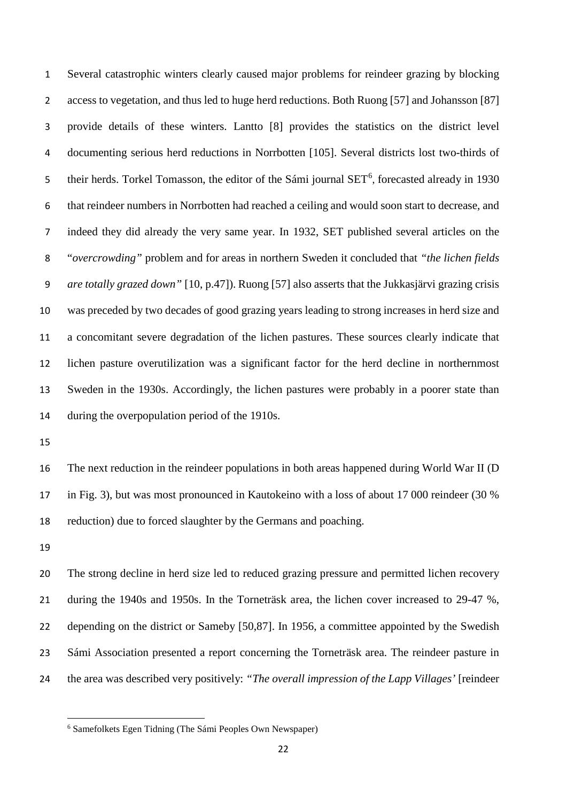Several catastrophic winters clearly caused major problems for reindeer grazing by blocking access to vegetation, and thus led to huge herd reductions. Both Ruong [57] and Johansson [87] provide details of these winters. Lantto [8] provides the statistics on the district level documenting serious herd reductions in Norrbotten [105]. Several districts lost two-thirds of 5 their herds. Torkel Tomasson, the editor of the Sámi journal SET<sup>[6](#page-21-0)</sup>, forecasted already in 1930 that reindeer numbers in Norrbotten had reached a ceiling and would soon start to decrease, and indeed they did already the very same year. In 1932, SET published several articles on the "*overcrowding"* problem and for areas in northern Sweden it concluded that *"the lichen fields are totally grazed down"* [10, p.47]). Ruong [57] also asserts that the Jukkasjärvi grazing crisis was preceded by two decades of good grazing years leading to strong increases in herd size and a concomitant severe degradation of the lichen pastures. These sources clearly indicate that lichen pasture overutilization was a significant factor for the herd decline in northernmost Sweden in the 1930s. Accordingly, the lichen pastures were probably in a poorer state than during the overpopulation period of the 1910s.

 The next reduction in the reindeer populations in both areas happened during World War II (D in Fig. 3), but was most pronounced in Kautokeino with a loss of about 17 000 reindeer (30 % reduction) due to forced slaughter by the Germans and poaching.

 $\overline{a}$ 

 The strong decline in herd size led to reduced grazing pressure and permitted lichen recovery during the 1940s and 1950s. In the Torneträsk area, the lichen cover increased to 29-47 %, depending on the district or Sameby [50,87]. In 1956, a committee appointed by the Swedish Sámi Association presented a report concerning the Torneträsk area. The reindeer pasture in the area was described very positively: *"The overall impression of the Lapp Villages'* [reindeer

<span id="page-21-0"></span>Samefolkets Egen Tidning (The Sámi Peoples Own Newspaper)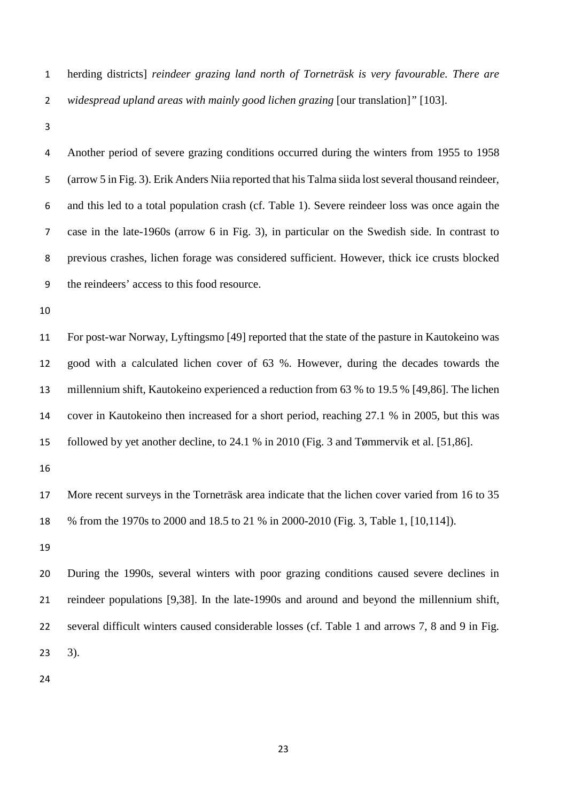- herding districts] *reindeer grazing land north of Torneträsk is very favourable. There are widespread upland areas with mainly good lichen grazing* [our translation]*"* [103].
- 

 Another period of severe grazing conditions occurred during the winters from 1955 to 1958 (arrow 5 in Fig. 3). Erik Anders Niia reported that his Talma siida lost several thousand reindeer, and this led to a total population crash (cf. Table 1). Severe reindeer loss was once again the case in the late-1960s (arrow 6 in Fig. 3), in particular on the Swedish side. In contrast to previous crashes, lichen forage was considered sufficient. However, thick ice crusts blocked the reindeers' access to this food resource.

 For post-war Norway, Lyftingsmo [49] reported that the state of the pasture in Kautokeino was good with a calculated lichen cover of 63 %. However, during the decades towards the millennium shift, Kautokeino experienced a reduction from 63 % to 19.5 % [49,86]. The lichen cover in Kautokeino then increased for a short period, reaching 27.1 % in 2005, but this was followed by yet another decline, to 24.1 % in 2010 (Fig. 3 and Tømmervik et al. [51,86].

 More recent surveys in the Torneträsk area indicate that the lichen cover varied from 16 to 35 % from the 1970s to 2000 and 18.5 to 21 % in 2000-2010 (Fig. 3, Table 1, [10,114]).

 During the 1990s, several winters with poor grazing conditions caused severe declines in reindeer populations [9,38]. In the late-1990s and around and beyond the millennium shift, several difficult winters caused considerable losses (cf. Table 1 and arrows 7, 8 and 9 in Fig. 3).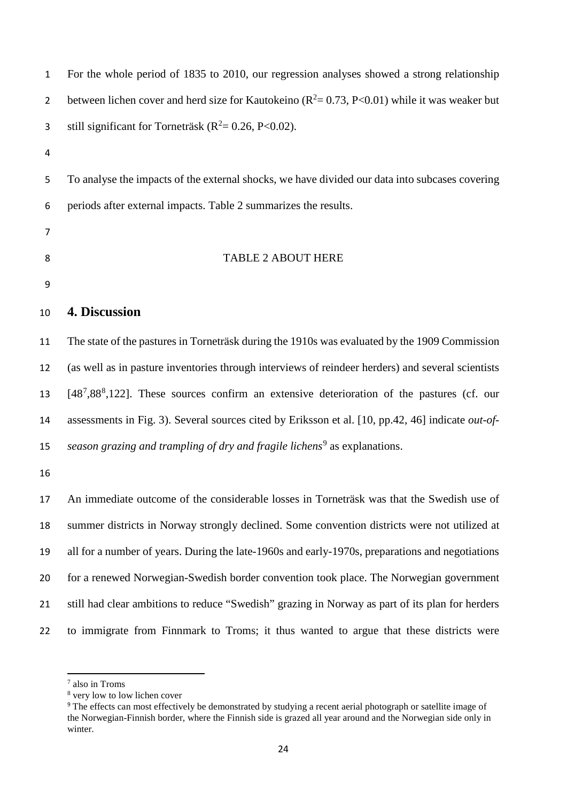| $\mathbf{1}$   | For the whole period of 1835 to 2010, our regression analyses showed a strong relationship         |
|----------------|----------------------------------------------------------------------------------------------------|
| $\overline{2}$ | between lichen cover and herd size for Kautokeino ( $R^2 = 0.73$ , P<0.01) while it was weaker but |
| 3              | still significant for Torneträsk ( $R^2$ = 0.26, P<0.02).                                          |
| 4              |                                                                                                    |
| 5              | To analyse the impacts of the external shocks, we have divided our data into subcases covering     |
| 6              | periods after external impacts. Table 2 summarizes the results.                                    |
| $\overline{7}$ |                                                                                                    |
| 8              | <b>TABLE 2 ABOUT HERE</b>                                                                          |
| 9              |                                                                                                    |
| 10             | 4. Discussion                                                                                      |
| 11             | The state of the pastures in Torneträsk during the 1910s was evaluated by the 1909 Commission      |
| 12             | (as well as in pasture inventories through interviews of reindeer herders) and several scientists  |
| 13             | $[487, 888, 122]$ . These sources confirm an extensive deterioration of the pastures (cf. our      |
| 14             | assessments in Fig. 3). Several sources cited by Eriksson et al. [10, pp.42, 46] indicate out-of-  |
| 15             | season grazing and trampling of dry and fragile lichens <sup>9</sup> as explanations.              |
| 16             |                                                                                                    |
| 17             | An immediate outcome of the considerable losses in Torneträsk was that the Swedish use of          |
| 18             | summer districts in Norway strongly declined. Some convention districts were not utilized at       |
| 19             | all for a number of years. During the late-1960s and early-1970s, preparations and negotiations    |
| 20             | for a renewed Norwegian-Swedish border convention took place. The Norwegian government             |
| 21             | still had clear ambitions to reduce "Swedish" grazing in Norway as part of its plan for herders    |
| 22             | to immigrate from Finnmark to Troms; it thus wanted to argue that these districts were             |

 $\overline{a}$ 

<span id="page-23-0"></span>also in Troms

very low to low lichen cover

<span id="page-23-2"></span><span id="page-23-1"></span><sup>&</sup>lt;sup>9</sup> The effects can most effectively be demonstrated by studying a recent aerial photograph or satellite image of the Norwegian-Finnish border, where the Finnish side is grazed all year around and the Norwegian side only in winter.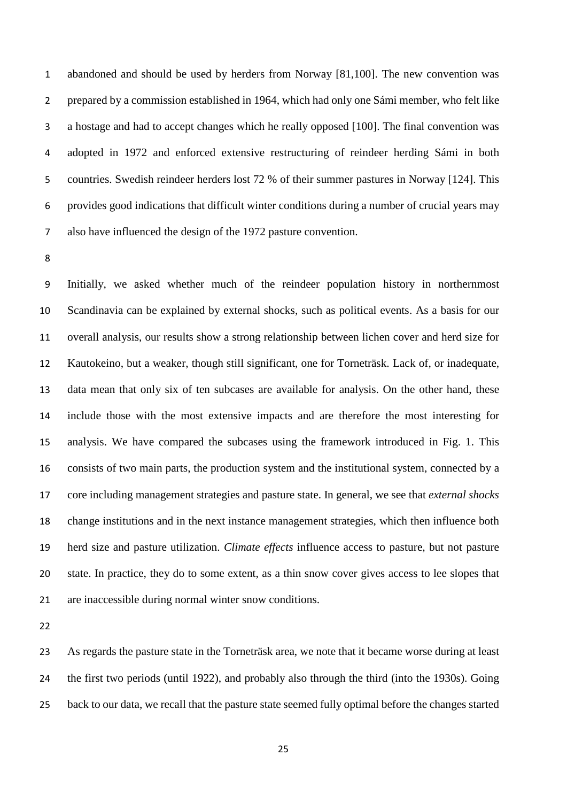abandoned and should be used by herders from Norway [81,100]. The new convention was prepared by a commission established in 1964, which had only one Sámi member, who felt like a hostage and had to accept changes which he really opposed [100]. The final convention was adopted in 1972 and enforced extensive restructuring of reindeer herding Sámi in both countries. Swedish reindeer herders lost 72 % of their summer pastures in Norway [124]. This provides good indications that difficult winter conditions during a number of crucial years may also have influenced the design of the 1972 pasture convention.

 Initially, we asked whether much of the reindeer population history in northernmost Scandinavia can be explained by external shocks, such as political events. As a basis for our overall analysis, our results show a strong relationship between lichen cover and herd size for Kautokeino, but a weaker, though still significant, one for Torneträsk. Lack of, or inadequate, data mean that only six of ten subcases are available for analysis. On the other hand, these include those with the most extensive impacts and are therefore the most interesting for analysis. We have compared the subcases using the framework introduced in Fig. 1. This consists of two main parts, the production system and the institutional system, connected by a core including management strategies and pasture state. In general, we see that *external shocks* change institutions and in the next instance management strategies, which then influence both herd size and pasture utilization. *Climate effects* influence access to pasture, but not pasture state. In practice, they do to some extent, as a thin snow cover gives access to lee slopes that are inaccessible during normal winter snow conditions.

 As regards the pasture state in the Torneträsk area, we note that it became worse during at least the first two periods (until 1922), and probably also through the third (into the 1930s). Going back to our data, we recall that the pasture state seemed fully optimal before the changes started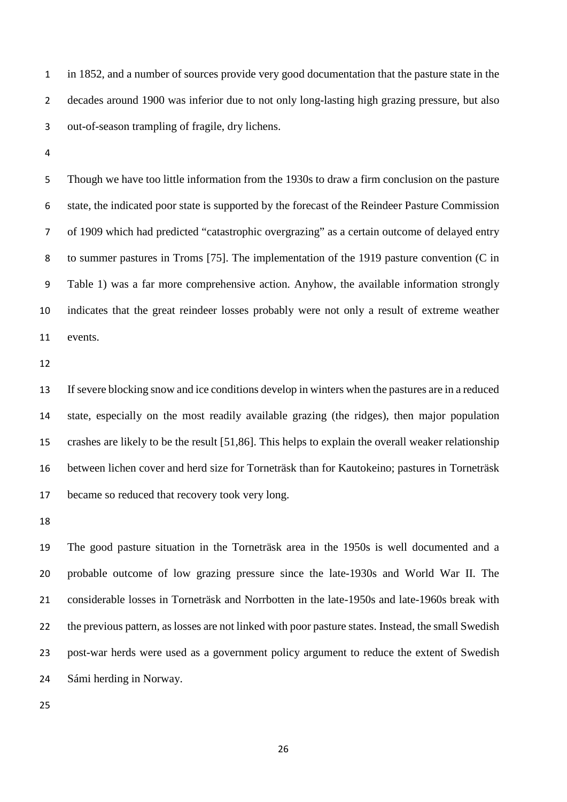in 1852, and a number of sources provide very good documentation that the pasture state in the decades around 1900 was inferior due to not only long-lasting high grazing pressure, but also out-of-season trampling of fragile, dry lichens.

 Though we have too little information from the 1930s to draw a firm conclusion on the pasture state, the indicated poor state is supported by the forecast of the Reindeer Pasture Commission of 1909 which had predicted "catastrophic overgrazing" as a certain outcome of delayed entry to summer pastures in Troms [75]. The implementation of the 1919 pasture convention (C in Table 1) was a far more comprehensive action. Anyhow, the available information strongly indicates that the great reindeer losses probably were not only a result of extreme weather events.

 If severe blocking snow and ice conditions develop in winters when the pastures are in a reduced state, especially on the most readily available grazing (the ridges), then major population crashes are likely to be the result [51,86]. This helps to explain the overall weaker relationship between lichen cover and herd size for Torneträsk than for Kautokeino; pastures in Torneträsk became so reduced that recovery took very long.

 The good pasture situation in the Torneträsk area in the 1950s is well documented and a probable outcome of low grazing pressure since the late-1930s and World War II. The considerable losses in Torneträsk and Norrbotten in the late-1950s and late-1960s break with the previous pattern, as losses are not linked with poor pasture states. Instead, the small Swedish post-war herds were used as a government policy argument to reduce the extent of Swedish Sámi herding in Norway.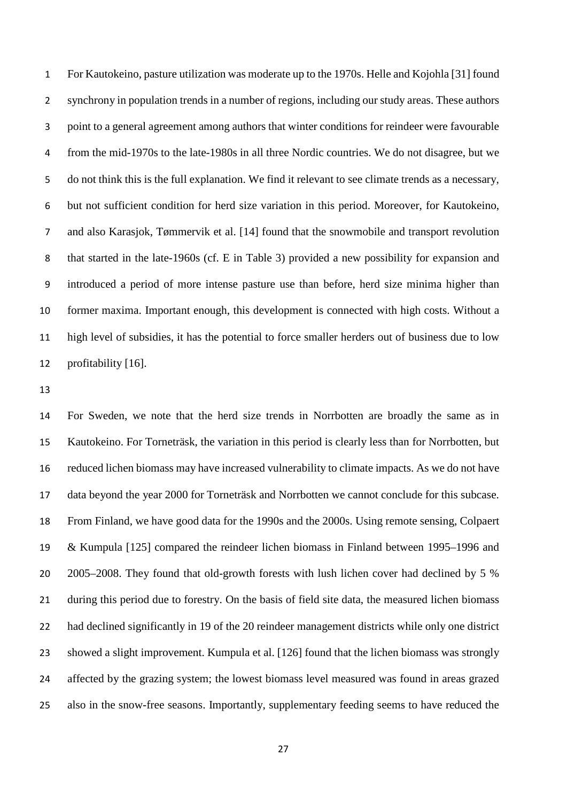For Kautokeino, pasture utilization was moderate up to the 1970s. Helle and Kojohla [31] found synchrony in population trends in a number of regions, including our study areas. These authors point to a general agreement among authors that winter conditions for reindeer were favourable from the mid-1970s to the late-1980s in all three Nordic countries. We do not disagree, but we do not think this is the full explanation. We find it relevant to see climate trends as a necessary, but not sufficient condition for herd size variation in this period. Moreover, for Kautokeino, and also Karasjok, Tømmervik et al. [14] found that the snowmobile and transport revolution that started in the late-1960s (cf. E in Table 3) provided a new possibility for expansion and introduced a period of more intense pasture use than before, herd size minima higher than former maxima. Important enough, this development is connected with high costs. Without a high level of subsidies, it has the potential to force smaller herders out of business due to low profitability [16].

 For Sweden, we note that the herd size trends in Norrbotten are broadly the same as in Kautokeino. For Torneträsk, the variation in this period is clearly less than for Norrbotten, but reduced lichen biomass may have increased vulnerability to climate impacts. As we do not have data beyond the year 2000 for Torneträsk and Norrbotten we cannot conclude for this subcase. From Finland, we have good data for the 1990s and the 2000s. Using remote sensing, Colpaert & Kumpula [125] compared the reindeer lichen biomass in Finland between 1995–1996 and 2005–2008. They found that old-growth forests with lush lichen cover had declined by 5 % during this period due to forestry. On the basis of field site data, the measured lichen biomass had declined significantly in 19 of the 20 reindeer management districts while only one district showed a slight improvement. Kumpula et al. [126] found that the lichen biomass was strongly affected by the grazing system; the lowest biomass level measured was found in areas grazed also in the snow-free seasons. Importantly, supplementary feeding seems to have reduced the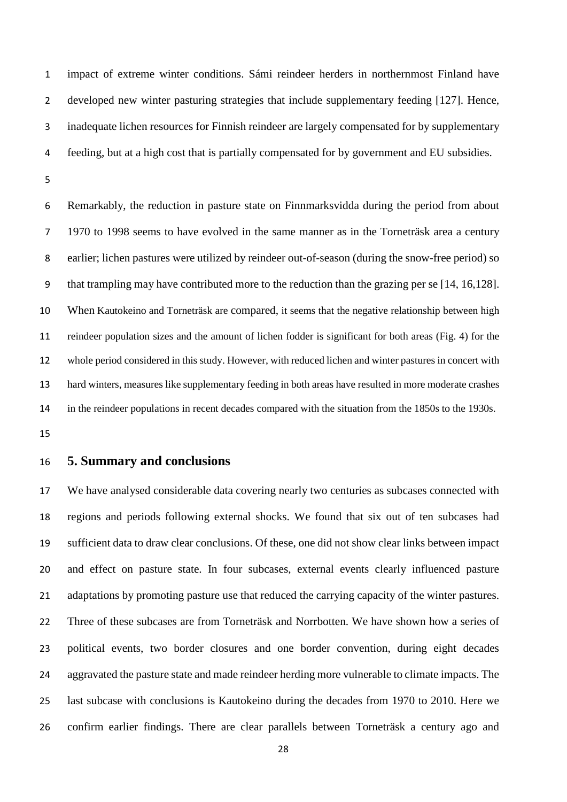impact of extreme winter conditions. Sámi reindeer herders in northernmost Finland have developed new winter pasturing strategies that include supplementary feeding [127]. Hence, inadequate lichen resources for Finnish reindeer are largely compensated for by supplementary feeding, but at a high cost that is partially compensated for by government and EU subsidies.

 Remarkably, the reduction in pasture state on Finnmarksvidda during the period from about 1970 to 1998 seems to have evolved in the same manner as in the Torneträsk area a century earlier; lichen pastures were utilized by reindeer out-of-season (during the snow-free period) so that trampling may have contributed more to the reduction than the grazing per se [14, 16,128]. When Kautokeino and Torneträsk are compared, it seems that the negative relationship between high reindeer population sizes and the amount of lichen fodder is significant for both areas (Fig. 4) for the whole period considered in this study. However, with reduced lichen and winter pastures in concert with hard winters, measures like supplementary feeding in both areas have resulted in more moderate crashes in the reindeer populations in recent decades compared with the situation from the 1850s to the 1930s.

#### **5. Summary and conclusions**

 We have analysed considerable data covering nearly two centuries as subcases connected with regions and periods following external shocks. We found that six out of ten subcases had sufficient data to draw clear conclusions. Of these, one did not show clear links between impact and effect on pasture state. In four subcases, external events clearly influenced pasture 21 adaptations by promoting pasture use that reduced the carrying capacity of the winter pastures. Three of these subcases are from Torneträsk and Norrbotten. We have shown how a series of political events, two border closures and one border convention, during eight decades aggravated the pasture state and made reindeer herding more vulnerable to climate impacts. The last subcase with conclusions is Kautokeino during the decades from 1970 to 2010. Here we confirm earlier findings. There are clear parallels between Torneträsk a century ago and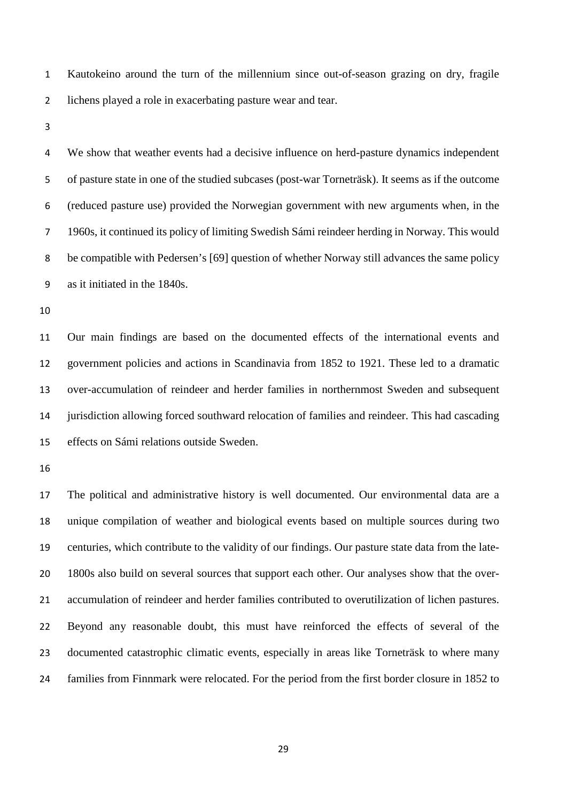Kautokeino around the turn of the millennium since out-of-season grazing on dry, fragile lichens played a role in exacerbating pasture wear and tear.

 We show that weather events had a decisive influence on herd-pasture dynamics independent of pasture state in one of the studied subcases (post-war Torneträsk). It seems as if the outcome (reduced pasture use) provided the Norwegian government with new arguments when, in the 1960s, it continued its policy of limiting Swedish Sámi reindeer herding in Norway. This would be compatible with Pedersen's [69] question of whether Norway still advances the same policy as it initiated in the 1840s.

 Our main findings are based on the documented effects of the international events and government policies and actions in Scandinavia from 1852 to 1921. These led to a dramatic over-accumulation of reindeer and herder families in northernmost Sweden and subsequent jurisdiction allowing forced southward relocation of families and reindeer. This had cascading effects on Sámi relations outside Sweden.

 The political and administrative history is well documented. Our environmental data are a unique compilation of weather and biological events based on multiple sources during two centuries, which contribute to the validity of our findings. Our pasture state data from the late- 1800s also build on several sources that support each other. Our analyses show that the over- accumulation of reindeer and herder families contributed to overutilization of lichen pastures. Beyond any reasonable doubt, this must have reinforced the effects of several of the documented catastrophic climatic events, especially in areas like Torneträsk to where many families from Finnmark were relocated. For the period from the first border closure in 1852 to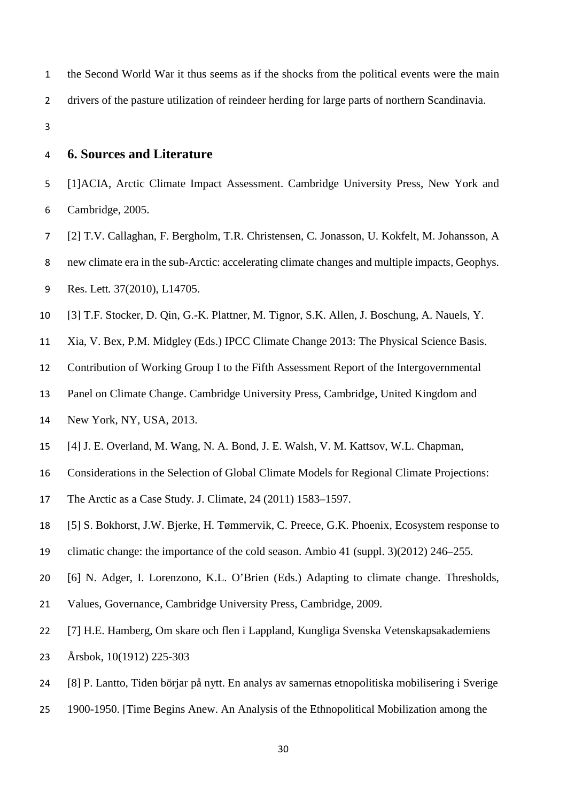- the Second World War it thus seems as if the shocks from the political events were the main drivers of the pasture utilization of reindeer herding for large parts of northern Scandinavia.
- 

## **6. Sources and Literature**

- [1]ACIA, Arctic Climate Impact Assessment. Cambridge University Press, New York and Cambridge, 2005.
- [2] T.V. Callaghan, F. Bergholm, T.R. Christensen, C. Jonasson, U. Kokfelt, M. Johansson, A
- new climate era in the sub-Arctic: accelerating climate changes and multiple impacts*,* Geophys.
- Res. Lett*.* 37(2010), L14705.
- [3] T.F. Stocker, D. Qin, G.-K. Plattner, M. Tignor, S.K. Allen, J. Boschung, A. Nauels, Y.
- Xia, V. Bex, P.M. Midgley (Eds.) IPCC Climate Change 2013: The Physical Science Basis.
- Contribution of Working Group I to the Fifth Assessment Report of the Intergovernmental
- Panel on Climate Change. Cambridge University Press, Cambridge, United Kingdom and
- New York, NY, USA, 2013.
- [4] J. E. Overland, M. Wang, N. A. Bond, J. E. Walsh, V. M. Kattsov, W.L. Chapman,
- Considerations in the Selection of Global Climate Models for Regional Climate Projections:
- The Arctic as a Case Study. J. Climate, 24 (2011) 1583–1597.
- [5] S. Bokhorst, J.W. Bjerke, H. Tømmervik, [C. Preece, G.K. Phoenix, Ecosystem response to](http://link.springer.com/article/10.1007%2Fs13280-012-0310-5)
- [climatic change: the importance of the cold season. Ambio 41 \(suppl. 3\)\(2012\) 246–255.](http://link.springer.com/article/10.1007%2Fs13280-012-0310-5)
- [6] N. Adger, I. Lorenzono, K.L. O'Brien (Eds.) Adapting to climate change. Thresholds,
- Values, Governance, Cambridge University Press, Cambridge, 2009.
- [7] H.E. Hamberg, Om skare och flen i Lappland*,* Kungliga Svenska Vetenskapsakademiens
- Årsbok, 10(1912) 225-303
- [8] P. Lantto, Tiden börjar på nytt. En analys av samernas etnopolitiska mobilisering i Sverige
- 1900-1950. [Time Begins Anew. An Analysis of the Ethnopolitical Mobilization among the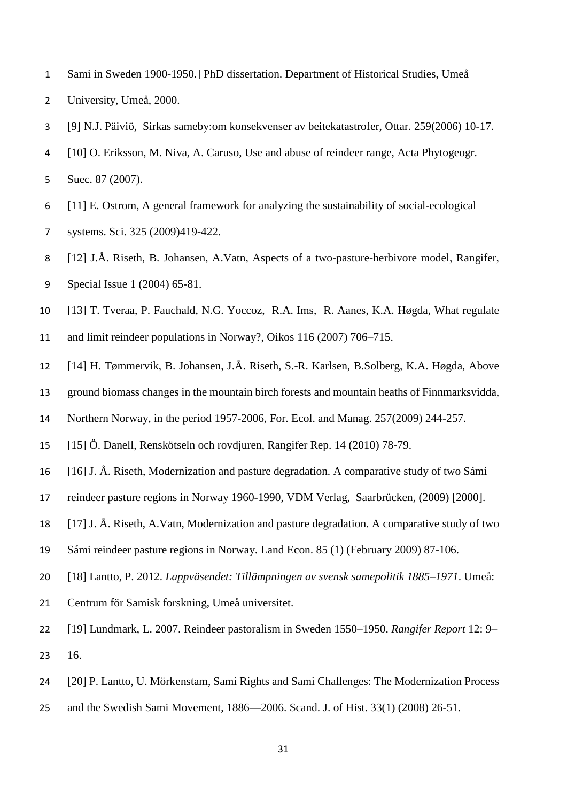- Sami in Sweden 1900-1950.] PhD dissertation. Department of Historical Studies, Umeå
- University, Umeå, 2000.
- [9] N.J. Päiviö, Sirkas sameby:om konsekvenser av beitekatastrofer, Ottar. 259(2006) 10-17.
- [10] O. Eriksson, M. Niva, A. Caruso, Use and abuse of reindeer range, Acta Phytogeogr.
- Suec. 87 (2007).
- [11] E. Ostrom, A general framework for analyzing the sustainability of social-ecological
- systems. Sci. 325 (2009)419-422.
- [12] J.Å. Riseth, B. Johansen, A.Vatn, Aspects of a two-pasture-herbivore model, Rangifer*,*  Special Issue 1 (2004) 65-81.
- [13] T. Tveraa, P. Fauchald, N.G. Yoccoz, R.A. Ims, R. Aanes, K.A. Høgda, What regulate
- and limit reindeer populations in Norway?, Oikos 116 (2007) 706–715.
- [14] H. Tømmervik, B. Johansen, J.Å. Riseth, S.-R. Karlsen, B.Solberg, K.A. Høgda, Above
- ground biomass changes in the mountain birch forests and mountain heaths of Finnmarksvidda,
- Northern Norway, in the period 1957-2006, For. Ecol. and Manag. 257(2009) 244-257.
- [15] Ö. Danell, Renskötseln och rovdjuren, Rangifer Rep. 14 (2010) 78-79.
- [16] J. Å. Riseth, Modernization and pasture degradation. A comparative study of two Sámi
- reindeer pasture regions in Norway 1960-1990, VDM Verlag, Saarbrücken, (2009) [2000].
- [17] J. Å. Riseth, A.Vatn, Modernization and pasture degradation. A comparative study of two
- Sámi reindeer pasture regions in Norway. Land Econ. 85 (1) (February 2009) 87-106.
- [18] Lantto, P. 2012. *Lappväsendet: Tillämpningen av svensk samepolitik 1885–1971*. Umeå:
- Centrum för Samisk forskning, Umeå universitet.
- [19] Lundmark, L. 2007. Reindeer pastoralism in Sweden 1550–1950. *Rangifer Report* 12: 9– 16.
- [20] P. Lantto, U. Mörkenstam, Sami Rights and Sami Challenges: The Modernization Process
- and the Swedish Sami Movement, 1886—2006. Scand. J. of Hist. 33(1) (2008) 26-51.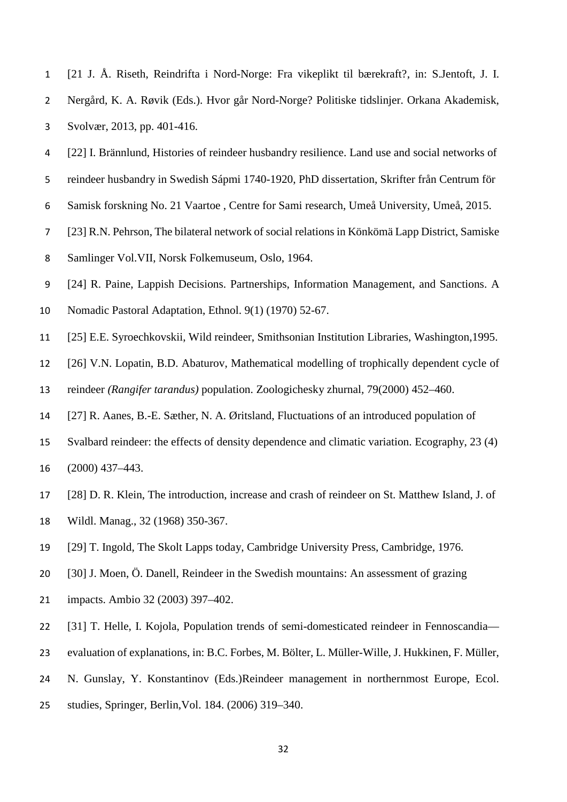| 1 [21 J. Å. Riseth, Reindrifta i Nord-Norge: Fra vikeplikt til bærekraft?, in: S.Jentoft, J. I. |
|-------------------------------------------------------------------------------------------------|
| Nergård, K. A. Røvik (Eds.). Hvor går Nord-Norge? Politiske tidslinjer. Orkana Akademisk,       |
| Svolvær, 2013, pp. 401-416.                                                                     |

- [22] I. Brännlund, Histories of reindeer husbandry resilience. Land use and social networks of reindeer husbandry in Swedish Sápmi 1740-1920, PhD dissertation, Skrifter från Centrum för
- Samisk forskning No. 21 Vaartoe , Centre for Sami research, Umeå University, Umeå, 2015.
- [23] R.N. Pehrson, The bilateral network of social relations in Könkömä Lapp District, Samiske
- Samlinger Vol.VII, Norsk Folkemuseum, Oslo, 1964.
- [24] R. Paine, Lappish Decisions. Partnerships, Information Management, and Sanctions. A
- Nomadic Pastoral Adaptation, Ethnol. 9(1) (1970) 52-67.
- [25] E.E. Syroechkovskii, Wild reindeer, Smithsonian Institution Libraries, Washington,1995.
- [26] V.N. Lopatin, B.D. Abaturov, Mathematical modelling of trophically dependent cycle of
- reindeer *(Rangifer tarandus)* population. Zoologichesky zhurnal*,* 79(2000) 452–460.
- [27] R. Aanes, B.-E. Sæther, N. A. Øritsland, Fluctuations of an introduced population of
- Svalbard reindeer: the effects of density dependence and climatic variation. Ecography, 23 (4)
- (2000) 437–443.
- [28] D. R. Klein, The introduction, increase and crash of reindeer on St. Matthew Island, J. of
- Wildl. Manag., 32 (1968) 350-367.
- [29] T. Ingold, The Skolt Lapps today, Cambridge University Press, Cambridge, 1976.
- [30] J. Moen, Ö. Danell, Reindeer in the Swedish mountains: An assessment of grazing
- impacts. Ambio 32 (2003) 397–402.
- [31] T. Helle, I. Kojola, Population trends of semi-domesticated reindeer in Fennoscandia—
- evaluation of explanations, in: B.C. Forbes, M. Bölter, L. Müller-Wille, J. Hukkinen, F. Müller,
- N. Gunslay, Y. Konstantinov (Eds.)Reindeer management in northernmost Europe, Ecol.
- studies, Springer, Berlin,Vol. 184. (2006) 319–340.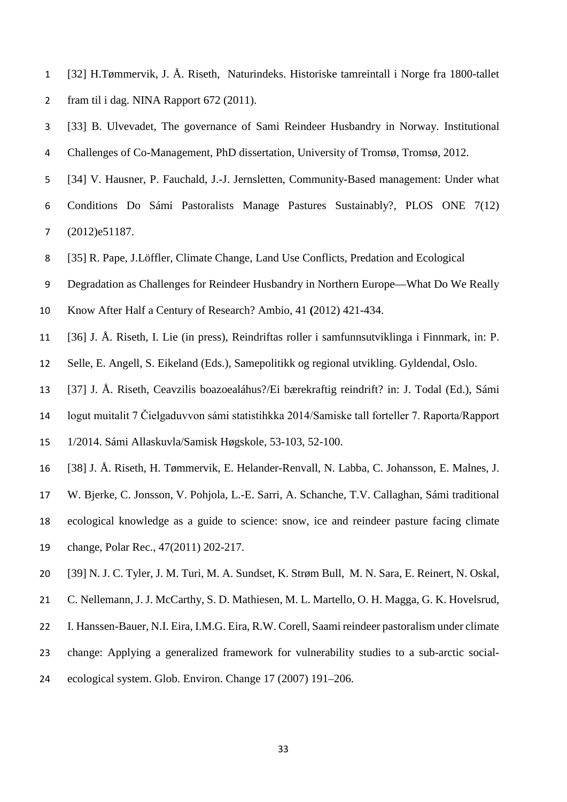- [32] H.Tømmervik, J. Å. Riseth, Naturindeks. Historiske tamreintall i Norge fra 1800-tallet fram til i dag. NINA Rapport 672 (2011).
- [33] B. Ulvevadet, The governance of Sami Reindeer Husbandry in Norway. Institutional Challenges of Co-Management, PhD dissertation, University of Tromsø, Tromsø, 2012.
- [34] V. Hausner, P. Fauchald, J.-J. Jernsletten, Community-Based management: Under what
- Conditions Do Sámi Pastoralists Manage Pastures Sustainably?, PLOS ONE 7(12) (2012)e51187.
- [35] R. Pape, J.Löffler, Climate Change, Land Use Conflicts, Predation and Ecological
- Degradation as Challenges for Reindeer Husbandry in Northern Europe—What Do We Really
- Know After Half a Century of Research? Ambio*,* 41 **(**2012) 421-434.
- [36] J. Å. Riseth, I. Lie (in press), Reindriftas roller i samfunnsutviklinga i Finnmark, in: P.
- Selle, E. Angell, S. Eikeland (Eds.), Samepolitikk og regional utvikling. Gyldendal, Oslo.
- [37] J. Å. Riseth, Ceavzilis boazoealáhus?/Ei bærekraftig reindrift? in: J. Todal (Ed.), Sámi
- logut muitalit 7 Čielgaduvvon sámi statistihkka 2014/Samiske tall forteller 7. Raporta/Rapport
- 1/2014. Sámi Allaskuvla/Samisk Høgskole, 53-103, 52-100.
- [38] J. Å. Riseth, H. Tømmervik, E. Helander-Renvall, N. Labba, C. Johansson, E. Malnes, J.
- W. Bjerke, C. Jonsson, V. Pohjola, L.-E. Sarri, A. Schanche, T.V. Callaghan, Sámi traditional
- ecological knowledge as a guide to science: snow, ice and reindeer pasture facing climate
- change, Polar Rec., 47(2011) 202-217.
- [39] N. J. C. Tyler, J. M. Turi, M. A. Sundset, K. Strøm Bull, M. N. Sara, E. Reinert, N. Oskal,
- 21 C. Nellemann, J. J. McCarthy, S. D. Mathiesen, M. L. Martello, O. H. Magga, G. K. Hovelsrud,
- I. Hanssen-Bauer, N.I. Eira, I.M.G. Eira, R.W. Corell, Saami reindeer pastoralism under climate
- change: Applying a generalized framework for vulnerability studies to a sub-arctic social-
- ecological system. Glob. Environ. Change 17 (2007) 191–206.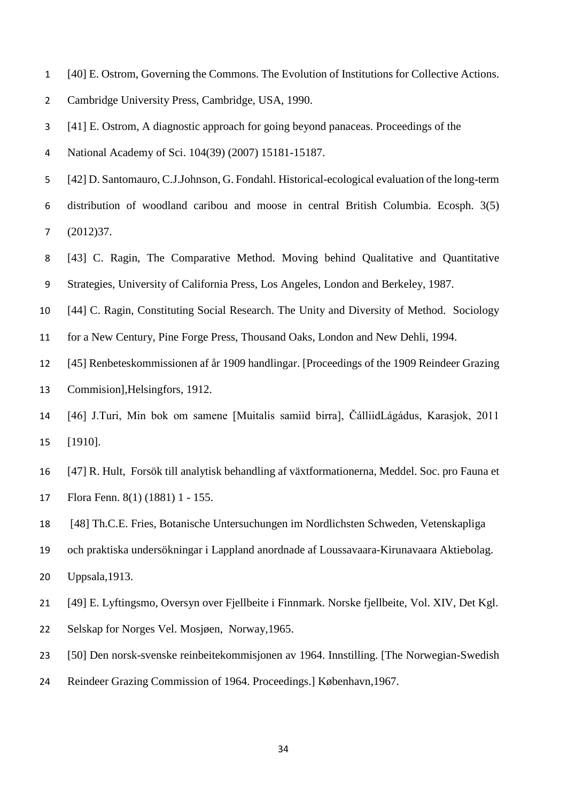- [40] E. Ostrom, Governing the Commons. The Evolution of Institutions for Collective Actions.
- Cambridge University Press, Cambridge, USA, 1990.

[41] E. Ostrom, A diagnostic approach for going beyond panaceas. Proceedings of the

National Academy of Sci. 104(39) (2007) 15181-15187.

- [42] D. Santomauro, C.J.Johnson, G. Fondahl. Historical-ecological evaluation of the long-term
- distribution of woodland caribou and moose in central British Columbia. Ecosph. 3(5) (2012)37.
- [43] C. Ragin, The Comparative Method. Moving behind Qualitative and Quantitative Strategies, University of California Press, Los Angeles, London and Berkeley, 1987.
- [44] C. Ragin, Constituting Social Research. The Unity and Diversity of Method. Sociology
- for a New Century, Pine Forge Press, Thousand Oaks, London and New Dehli, 1994.
- [45] Renbeteskommissionen af år 1909 handlingar. [Proceedings of the 1909 Reindeer Grazing Commision],Helsingfors, 1912.
- [46] J.Turi, Min bok om samene [Muitalis samiid birra], ČálliidLágádus, Karasjok, 2011 [1910].
- [47] R. Hult, Forsök till analytisk behandling af växtformationerna, Meddel. Soc. pro Fauna et Flora Fenn. 8(1) (1881) 1 - 155.
- [48] Th.C.E. Fries, Botanische Untersuchungen im Nordlichsten Schweden, Vetenskapliga
- och praktiska undersökningar i Lappland anordnade af Loussavaara-Kirunavaara Aktiebolag. Uppsala,1913.
- [49] E. Lyftingsmo, Oversyn over Fjellbeite i Finnmark. Norske fjellbeite, Vol. XIV, Det Kgl.
- Selskap for Norges Vel. Mosjøen, Norway,1965.
- [50] Den norsk-svenske reinbeitekommisjonen av 1964. Innstilling. [The Norwegian-Swedish
- Reindeer Grazing Commission of 1964. Proceedings.] København,1967.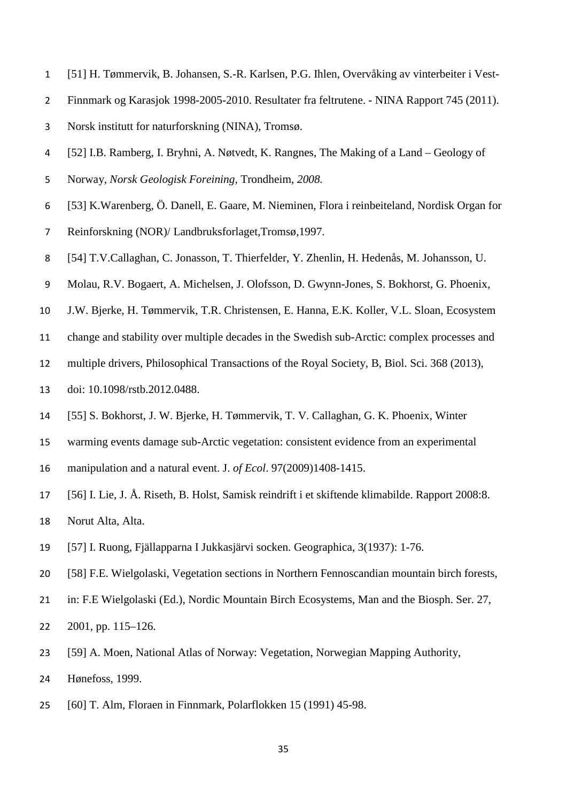- [51] H. Tømmervik, B. Johansen, S.-R. Karlsen, P.G. Ihlen, Overvåking av vinterbeiter i Vest-
- Finnmark og Karasjok 1998-2005-2010. Resultater fra feltrutene. NINA Rapport 745 (2011).
- Norsk institutt for naturforskning (NINA), Tromsø.
- [52] I.B. Ramberg, I. Bryhni, A. Nøtvedt, K. Rangnes, The Making of a Land Geology of
- Norway, *Norsk Geologisk Foreining,* Trondheim, *2008.*
- [53] K.Warenberg, Ö. Danell, E. Gaare, M. Nieminen, Flora i reinbeiteland, Nordisk Organ for
- Reinforskning (NOR)/ Landbruksforlaget,Tromsø,1997.
- [54] T.V.Callaghan, C. Jonasson, T. Thierfelder, Y. Zhenlin, H. Hedenås, M. Johansson, U.
- Molau, R.V. Bogaert, A. Michelsen, J. Olofsson, D. Gwynn-Jones, S. Bokhorst, G. Phoenix,
- J.W. Bjerke, H. Tømmervik, T.R. Christensen, E. Hanna, E.K. Koller, V.L. Sloan, Ecosystem
- change and stability over multiple decades in the Swedish sub-Arctic: complex processes and
- multiple drivers, Philosophical Transactions of the Royal Society, B, Biol. Sci. 368 (2013),
- doi: 10.1098/rstb.2012.0488.
- [55] S. Bokhorst, J. W. Bjerke, H. Tømmervik, T. V. Callaghan, G. K. Phoenix, [Winter](http://onlinelibrary.wiley.com/doi/10.1111/j.1365-2745.2009.01554.x/abstract)
- [warming events damage sub-Arctic vegetation: consistent evidence from an experimental](http://onlinelibrary.wiley.com/doi/10.1111/j.1365-2745.2009.01554.x/abstract)
- [manipulation and a natural event.](http://onlinelibrary.wiley.com/doi/10.1111/j.1365-2745.2009.01554.x/abstract) J. *of Ecol*. 97(2009)1408-1415.
- [56] I. Lie, J. Å. Riseth, B. Holst, Samisk reindrift i et skiftende klimabilde. Rapport 2008:8. Norut Alta, Alta.
- [57] I. Ruong, Fjällapparna I Jukkasjärvi socken. Geographica, 3(1937): 1-76.
- [58] F.E. Wielgolaski, Vegetation sections in Northern Fennoscandian mountain birch forests,
- in: F.E Wielgolaski (Ed.), Nordic Mountain Birch Ecosystems, Man and the Biosph. Ser. 27,
- 2001, pp. 115–126.
- [59] A. Moen, National Atlas of Norway: Vegetation, Norwegian Mapping Authority,
- Hønefoss, 1999.
- [60] T. Alm, Floraen in Finnmark, Polarflokken 15 (1991) 45-98.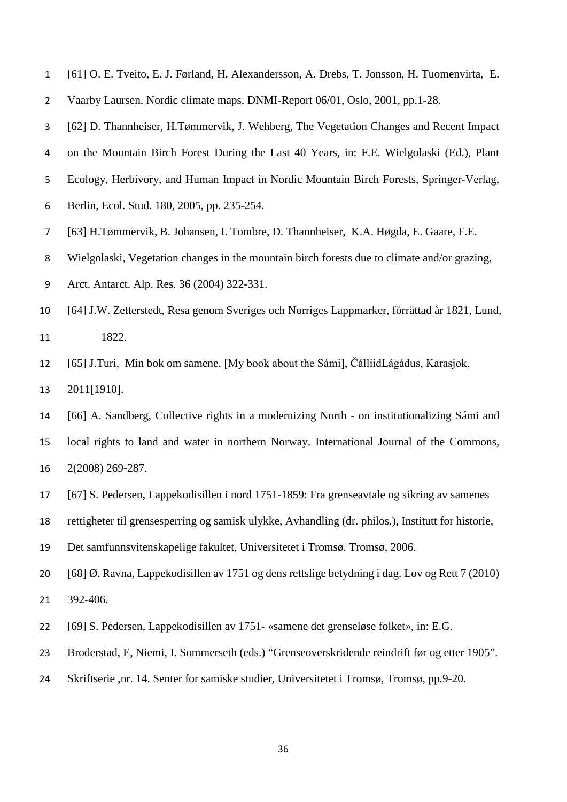- [61] O. E. Tveito, E. J. Førland, H. Alexandersson, A. Drebs, T. Jonsson, H. Tuomenvirta, E.
- Vaarby Laursen. Nordic climate maps. DNMI-Report 06/01, Oslo, 2001, pp.1-28.
- [62] D. Thannheiser, H.Tømmervik, J. Wehberg, The Vegetation Changes and Recent Impact
- on the Mountain Birch Forest During the Last 40 Years, in: F.E. Wielgolaski (Ed.), Plant
- Ecology, Herbivory, and Human Impact in Nordic Mountain Birch Forests, Springer-Verlag,
- Berlin, Ecol. Stud. 180, 2005, pp. 235-254.
- [63] H.Tømmervik, B. Johansen, I. Tombre, D. Thannheiser, K.A. Høgda, E. Gaare, F.E.
- Wielgolaski, Vegetation changes in the mountain birch forests due to climate and/or grazing,
- Arct. Antarct. Alp. Res. 36 (2004) 322-331.
- [64] J.W. Zetterstedt, Resa genom Sveriges och Norriges Lappmarker, förrättad år 1821, Lund, 1822.
- [65] J.Turi, Min bok om samene. [My book about the Sámi], ČálliidLágádus, Karasjok,
- 2011[1910].
- [66] A. Sandberg, [Collective rights in a modernizing North -](http://www.thecommonsjournal.org/index.php/ijc/article/view/41) on institutionalizing Sámi and
- [local rights to land and water in northern Norway.](http://www.thecommonsjournal.org/index.php/ijc/article/view/41) International Journal of the Commons, 2(2008) 269-287.
- [67] S. Pedersen, Lappekodisillen i nord 1751-1859: Fra grenseavtale og sikring av samenes
- rettigheter til grensesperring og samisk ulykke, Avhandling (dr. philos.), Institutt for historie,
- Det samfunnsvitenskapelige fakultet, Universitetet i Tromsø. Tromsø, 2006.
- [68] Ø. Ravna, Lappekodisillen av 1751 og dens rettslige betydning i dag. Lov og Rett 7 (2010) 392-406.
- [69] S. Pedersen, Lappekodisillen av 1751- «samene det grenseløse folket», in: E.G.
- Broderstad, E, Niemi, I. Sommerseth (eds.) "Grenseoverskridende reindrift før og etter 1905".
- Skriftserie ,nr. 14. Senter for samiske studier, Universitetet i Tromsø, Tromsø, pp.9-20.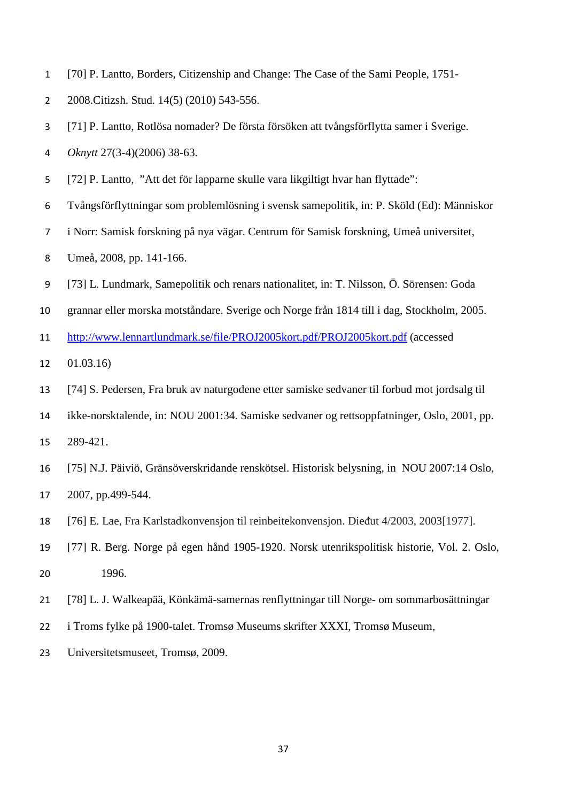- [70] P. Lantto, Borders, Citizenship and Change: The Case of the Sami People, 1751-
- 2008.Citizsh. Stud. 14(5) (2010) 543-556.
- [71] P. Lantto, Rotlösa nomader? De första försöken att tvångsförflytta samer i Sverige.
- *Oknytt* 27(3-4)(2006) 38-63.
- [72] P. Lantto, "Att det för lapparne skulle vara likgiltigt hvar han flyttade":
- Tvångsförflyttningar som problemlösning i svensk samepolitik, in: P. Sköld (Ed): Människor
- i Norr: Samisk forskning på nya vägar. Centrum för Samisk forskning, Umeå universitet,
- Umeå, 2008, pp. 141-166.
- [73] L. Lundmark, [Samepolitik och renars nationalitet,](http://www.lennartlundmark.se/file/PROJ2005kort.pdf/PROJ2005kort.pdf) in: T. [Nilsson, Ö. Sörensen: Goda](http://www.lennartlundmark.se/file/PROJ2005kort.pdf/PROJ2005kort.pdf)
- [grannar eller morska motståndare. Sverige och Norge från 1814 till i dag, Stockholm, 2005.](http://www.lennartlundmark.se/file/PROJ2005kort.pdf/PROJ2005kort.pdf)
- <http://www.lennartlundmark.se/file/PROJ2005kort.pdf/PROJ2005kort.pdf> (accessed
- 01.03.16)
- [74] S. Pedersen, Fra bruk av naturgodene etter samiske sedvaner til forbud mot jordsalg til
- ikke-norsktalende, in: NOU 2001:34. Samiske sedvaner og rettsoppfatninger, Oslo, 2001, pp.
- 289-421.
- [75] N.J. Päiviö, Gränsöverskridande renskötsel. Historisk belysning, in NOU 2007:14 Oslo,

2007, pp.499-544.

- [76] E. Lae, Fra Karlstadkonvensjon til reinbeitekonvensjon. Dieᵭut 4/2003, 2003[1977].
- [77] R. Berg. Norge på egen hånd 1905-1920. Norsk utenrikspolitisk historie, Vol. 2. Oslo, 1996.
- [78] L. J. Walkeapää, Könkämä-samernas renflyttningar till Norge- om sommarbosättningar
- i Troms fylke på 1900-talet. Tromsø Museums skrifter XXXI, Tromsø Museum,
- Universitetsmuseet, Tromsø, 2009.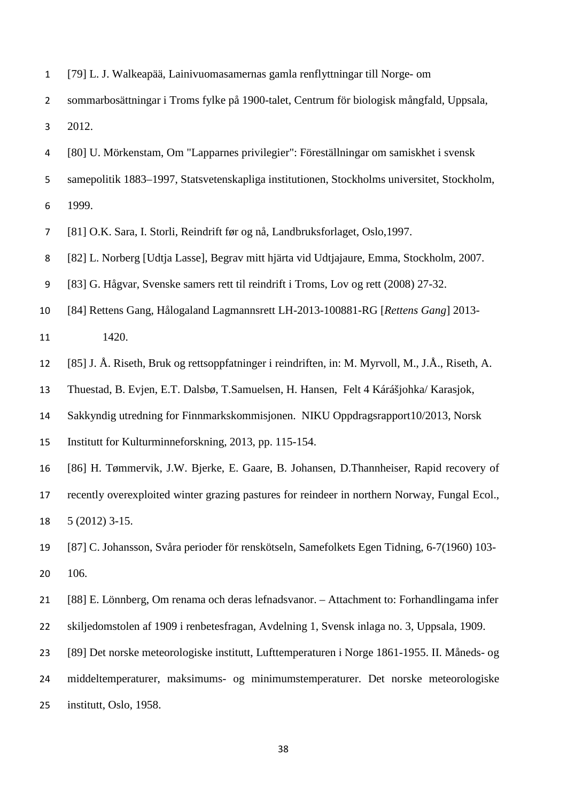| $\mathbf{1}$     | [79] L. J. Walkeapää, Lainivuomasamernas gamla renflyttningar till Norge- om                     |
|------------------|--------------------------------------------------------------------------------------------------|
| $\overline{2}$   | sommarbosättningar i Troms fylke på 1900-talet, Centrum för biologisk mångfald, Uppsala,         |
| 3                | 2012.                                                                                            |
| 4                | [80] U. Mörkenstam, Om "Lapparnes privilegier": Föreställningar om samiskhet i svensk            |
| 5                | samepolitik 1883-1997, Statsvetenskapliga institutionen, Stockholms universitet, Stockholm,      |
| 6                | 1999.                                                                                            |
| 7                | [81] O.K. Sara, I. Storli, Reindrift før og nå, Landbruksforlaget, Oslo, 1997.                   |
| 8                | [82] L. Norberg [Udtja Lasse], Begrav mitt hjärta vid Udtjajaure, Emma, Stockholm, 2007.         |
| $\boldsymbol{9}$ | [83] G. Hågvar, Svenske samers rett til reindrift i Troms, Lov og rett (2008) 27-32.             |
| 10               | [84] Rettens Gang, Hålogaland Lagmannsrett LH-2013-100881-RG [Rettens Gang] 2013-                |
| 11               | 1420.                                                                                            |
| 12               | [85] J. Å. Riseth, Bruk og rettsoppfatninger i reindriften, in: M. Myrvoll, M., J.Å., Riseth, A. |
| 13               | Thuestad, B. Evjen, E.T. Dalsbø, T.Samuelsen, H. Hansen, Felt 4 Kárášjohka/ Karasjok,            |
| 14               | Sakkyndig utredning for Finnmarkskommisjonen. NIKU Oppdragsrapport10/2013, Norsk                 |
| 15               | Institutt for Kulturminneforskning, 2013, pp. 115-154.                                           |
| 16               | [86] H. Tømmervik, J.W. Bjerke, E. Gaare, B. Johansen, D.Thannheiser, Rapid recovery of          |
| 17               | recently overexploited winter grazing pastures for reindeer in northern Norway, Fungal Ecol.,    |
| 18               | $5(2012)$ 3-15.                                                                                  |
| 19               | [87] C. Johansson, Svåra perioder för renskötseln, Samefolkets Egen Tidning, 6-7(1960) 103-      |
| 20               | 106.                                                                                             |
| 21               | [88] E. Lönnberg, Om renama och deras lefnadsvanor. – Attachment to: Forhandlingama infer        |
| 22               | skiljedomstolen af 1909 i renbetesfragan, Avdelning 1, Svensk inlaga no. 3, Uppsala, 1909.       |
| 23               | [89] Det norske meteorologiske institutt, Lufttemperaturen i Norge 1861-1955. II. Måneds- og     |
| 24               | middeltemperaturer, maksimums- og minimumstemperaturer. Det norske meteorologiske                |
| 25               | institutt, Oslo, 1958.                                                                           |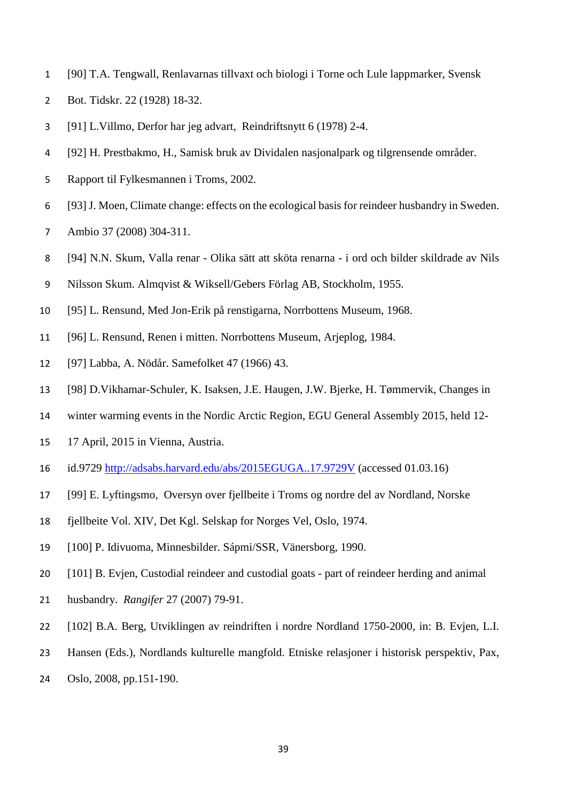- [90] T.A. Tengwall, Renlavarnas tillvaxt och biologi i Torne och Lule lappmarker, Svensk
- Bot. Tidskr. 22 (1928) 18-32.
- [91] L.Villmo, Derfor har jeg advart, Reindriftsnytt 6 (1978) 2-4.
- [92] H. Prestbakmo, H., Samisk bruk av Dividalen nasjonalpark og tilgrensende områder.
- Rapport til Fylkesmannen i Troms, 2002.
- [93] J. Moen, Climate change: effects on the ecological basis for reindeer husbandry in Sweden.
- Ambio 37 (2008) 304-311.
- [94] N.N. Skum, Valla renar Olika sätt att sköta renarna i ord och bilder skildrade av Nils
- Nilsson Skum. Almqvist & Wiksell/Gebers Förlag AB, Stockholm, 1955.
- [95] L. Rensund, Med Jon-Erik på renstigarna, Norrbottens Museum, 1968.
- [96] L. Rensund, Renen i mitten. Norrbottens Museum, Arjeplog, 1984.
- [97] Labba, A. Nödår. Samefolket 47 (1966) 43.
- [98] D.Vikhamar-Schuler, K. Isaksen, J.E. Haugen, J.W. Bjerke, H. Tømmervik, Changes in
- winter warming events in the Nordic Arctic Region, EGU General Assembly 2015, held 12-
- 17 April, 2015 in Vienna, Austria.
- id.9729<http://adsabs.harvard.edu/abs/2015EGUGA..17.9729V> (accessed 01.03.16)
- [99] E. Lyftingsmo, Oversyn over fjellbeite i Troms og nordre del av Nordland, Norske
- fjellbeite Vol. XIV, Det Kgl. Selskap for Norges Vel, Oslo, 1974.
- [100] P. Idivuoma, Minnesbilder. Sápmi/SSR, Vänersborg, 1990.
- [101] B. Evjen, Custodial reindeer and custodial goats part of reindeer herding and animal
- husbandry. *Rangifer* 27 (2007) 79-91.
- [102] B.A. Berg, Utviklingen av reindriften i nordre Nordland 1750-2000, in: B. Evjen, L.I.
- Hansen (Eds.), Nordlands kulturelle mangfold. Etniske relasjoner i historisk perspektiv, Pax,
- Oslo, 2008, pp.151-190.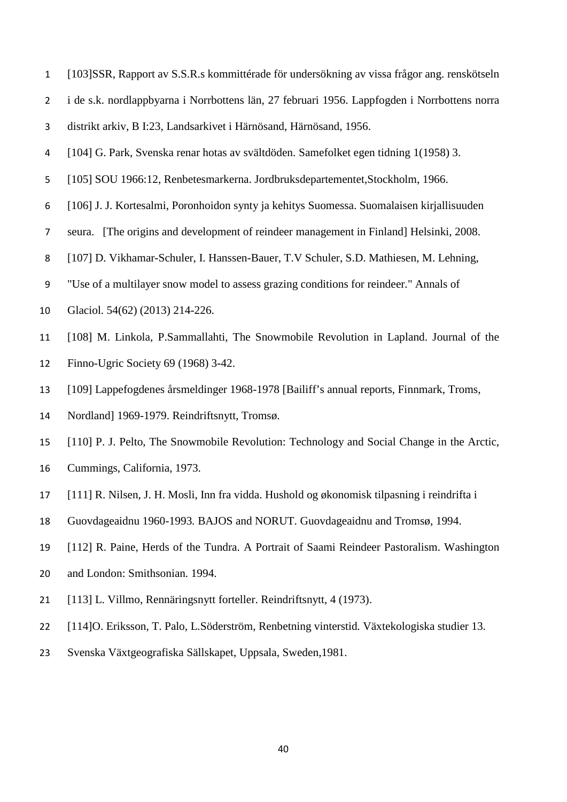- [103]SSR, Rapport av S.S.R.s kommittérade för undersökning av vissa frågor ang. renskötseln
- i de s.k. nordlappbyarna i Norrbottens län, 27 februari 1956. Lappfogden i Norrbottens norra
- distrikt arkiv, B I:23, Landsarkivet i Härnösand, Härnösand, 1956.
- [104] G. Park, Svenska renar hotas av svältdöden. Samefolket egen tidning 1(1958) 3.
- [105] SOU 1966:12, Renbetesmarkerna. Jordbruksdepartementet,Stockholm, 1966.
- [106] J. J. Kortesalmi, Poronhoidon synty ja kehitys Suomessa. Suomalaisen kirjallisuuden
- seura. [The origins and development of reindeer management in Finland] Helsinki, 2008.
- [107] D. Vikhamar-Schuler, I. Hanssen-Bauer, T.V Schuler, S.D. Mathiesen, M. Lehning,
- "Use of a multilayer snow model to assess grazing conditions for reindeer." Annals of
- Glaciol. 54(62) (2013) 214-226.
- [108] M. Linkola, P.Sammallahti, The Snowmobile Revolution in Lapland. Journal of the Finno-Ugric Society 69 (1968) 3-42.
- [109] Lappefogdenes årsmeldinger 1968-1978 [Bailiff's annual reports, Finnmark, Troms,
- Nordland] 1969-1979. Reindriftsnytt, Tromsø.
- [110] P. J. Pelto, The Snowmobile Revolution: Technology and Social Change in the Arctic,
- Cummings, California, 1973.
- [111] R. Nilsen, J. H. Mosli, Inn fra vidda. Hushold og økonomisk tilpasning i reindrifta i
- Guovdageaidnu 1960-1993*.* BAJOS and NORUT. Guovdageaidnu and Tromsø, 1994.
- [112] R. Paine, Herds of the Tundra. A Portrait of Saami Reindeer Pastoralism. Washington
- and London: Smithsonian. 1994.
- [113] L. Villmo, Rennäringsnytt forteller. Reindriftsnytt, 4 (1973).
- [114]O. Eriksson, T. Palo, L.Söderström, Renbetning vinterstid*.* Växtekologiska studier 13.
- Svenska Växtgeografiska Sällskapet, Uppsala, Sweden,1981.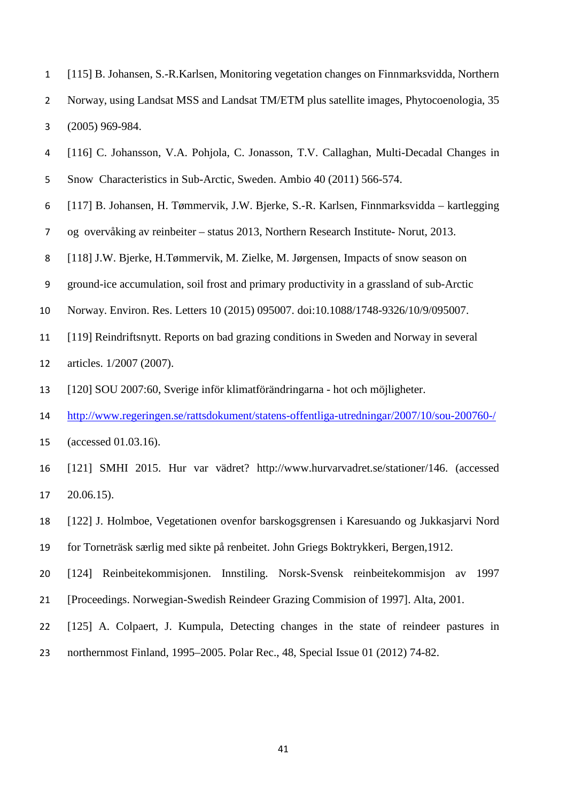- [115] B. Johansen, S.-R.Karlsen, Monitoring vegetation changes on Finnmarksvidda, Northern Norway, using Landsat MSS and Landsat TM/ETM plus satellite images, Phytocoenologia, 35 (2005) 969-984.
- [116] C. Johansson, V.A. Pohjola, C. Jonasson, T.V. Callaghan, Multi-Decadal Changes in
- Snow Characteristics in Sub-Arctic, Sweden. Ambio 40 (2011) 566-574.
- [117] B. Johansen, H. Tømmervik, J.W. Bjerke, S.-R. Karlsen, Finnmarksvidda kartlegging
- og overvåking av reinbeiter status 2013, Northern Research Institute- Norut, 2013.
- [118] J.W. Bjerke, H.Tømmervik, M. Zielke, M. Jørgensen, Impacts of snow season on
- ground-ice accumulation, soil frost and primary productivity in a grassland of sub-Arctic
- Norway. Environ. Res. Letters 10 (2015) 095007. doi:10.1088/1748-9326/10/9/095007.
- [119] Reindriftsnytt. Reports on bad grazing conditions in Sweden and Norway in several
- articles. 1/2007 (2007).
- [120] SOU 2007:60, Sverige inför klimatförändringarna hot och möjligheter.
- <http://www.regeringen.se/rattsdokument/statens-offentliga-utredningar/2007/10/sou-200760-/>
- (accessed 01.03.16).
- [121] SMHI 2015. Hur var vädret? http://www.hurvarvadret.se/stationer/146. (accessed 20.06.15).
- [122] J. Holmboe, Vegetationen ovenfor barskogsgrensen i Karesuando og Jukkasjarvi Nord
- for Torneträsk særlig med sikte på renbeitet. John Griegs Boktrykkeri, Bergen,1912.
- [124] Reinbeitekommisjonen. Innstiling. Norsk-Svensk reinbeitekommisjon av 1997
- [Proceedings. Norwegian-Swedish Reindeer Grazing Commision of 1997]. Alta, 2001.
- [125] A. Colpaert, J. Kumpula, Detecting changes in the state of reindeer pastures in
- northernmost Finland, 1995–2005. Polar Rec., 48, Special Issue 01 (2012) 74-82.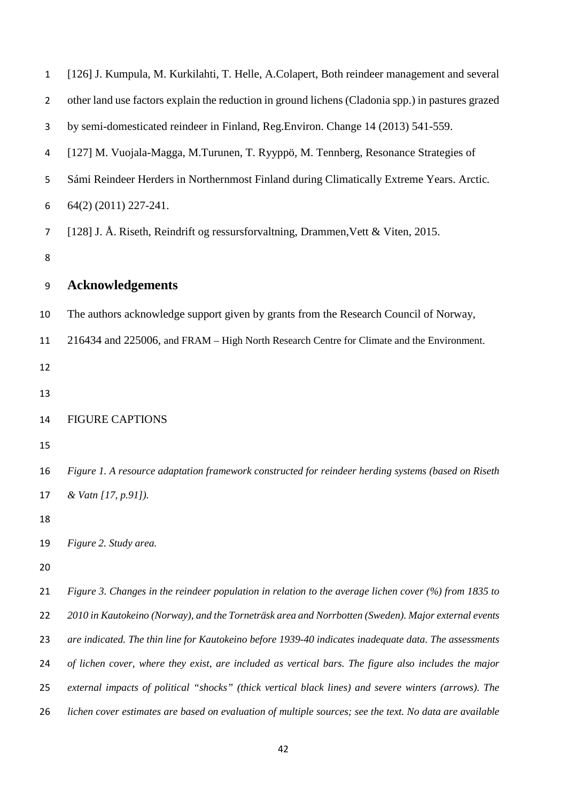| $\mathbf{1}$   | [126] J. Kumpula, M. Kurkilahti, T. Helle, A.Colapert, Both reindeer management and several             |
|----------------|---------------------------------------------------------------------------------------------------------|
| 2              | other land use factors explain the reduction in ground lichens (Cladonia spp.) in pastures grazed       |
| 3              | by semi-domesticated reindeer in Finland, Reg.Environ. Change 14 (2013) 541-559.                        |
| 4              | [127] M. Vuojala-Magga, M.Turunen, T. Ryyppö, M. Tennberg, Resonance Strategies of                      |
| 5              | Sámi Reindeer Herders in Northernmost Finland during Climatically Extreme Years. Arctic.                |
| 6              | 64(2) (2011) 227-241.                                                                                   |
| $\overline{7}$ | [128] J. Å. Riseth, Reindrift og ressursforvaltning, Drammen, Vett & Viten, 2015.                       |
| 8              |                                                                                                         |
| 9              | <b>Acknowledgements</b>                                                                                 |
| 10             | The authors acknowledge support given by grants from the Research Council of Norway,                    |
| 11             | 216434 and 225006, and FRAM – High North Research Centre for Climate and the Environment.               |
| 12             |                                                                                                         |
| 13             |                                                                                                         |
| 14             | <b>FIGURE CAPTIONS</b>                                                                                  |
| 15             |                                                                                                         |
| 16             | Figure 1. A resource adaptation framework constructed for reindeer herding systems (based on Riseth     |
| 17             | & Vatn [17, p.91]).                                                                                     |
| 18             |                                                                                                         |
| 19             | Figure 2. Study area.                                                                                   |
| 20             |                                                                                                         |
| 21             | Figure 3. Changes in the reindeer population in relation to the average lichen cover (%) from 1835 to   |
| 22             | 2010 in Kautokeino (Norway), and the Torneträsk area and Norrbotten (Sweden). Major external events     |
| 23             | are indicated. The thin line for Kautokeino before 1939-40 indicates inadequate data. The assessments   |
| 24             | of lichen cover, where they exist, are included as vertical bars. The figure also includes the major    |
| 25             | external impacts of political "shocks" (thick vertical black lines) and severe winters (arrows). The    |
| 26             | lichen cover estimates are based on evaluation of multiple sources; see the text. No data are available |